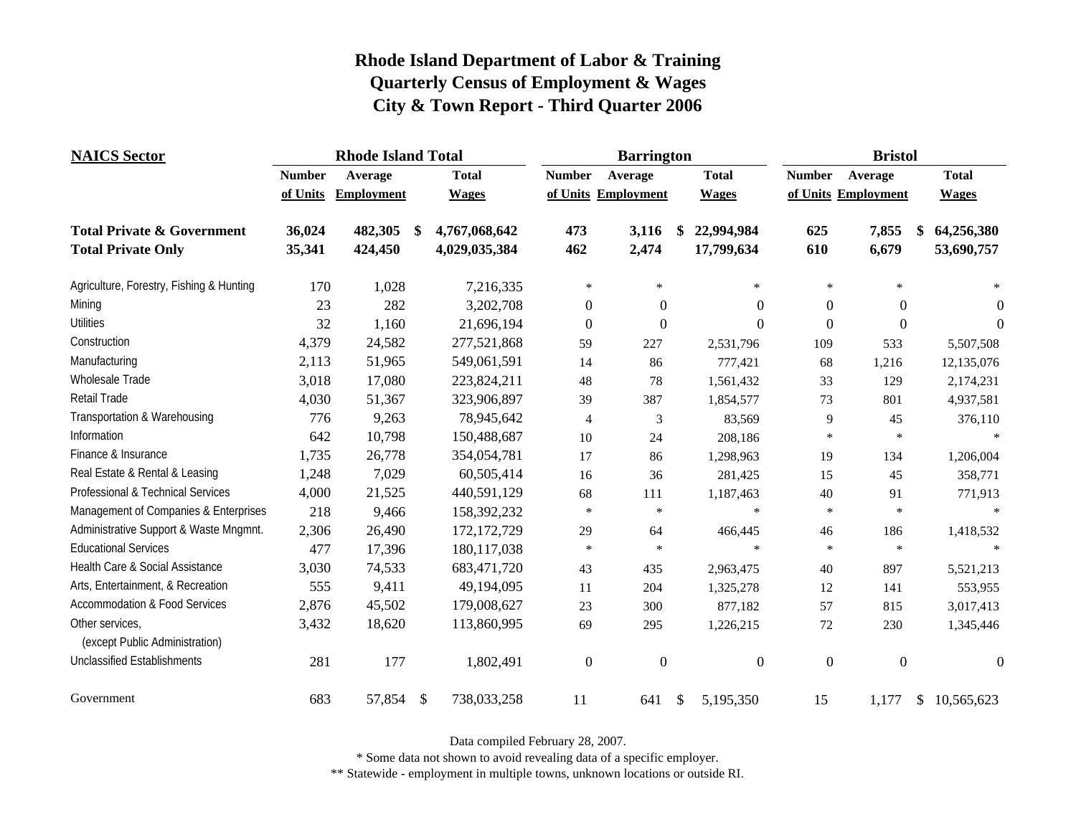| <b>NAICS</b> Sector                               | <b>Rhode Island Total</b> |                   |    |               |                  | <b>Barrington</b>   |    | <b>Bristol</b>   |                  |                     |  |                  |
|---------------------------------------------------|---------------------------|-------------------|----|---------------|------------------|---------------------|----|------------------|------------------|---------------------|--|------------------|
|                                                   | <b>Number</b>             | Average           |    | <b>Total</b>  | <b>Number</b>    | Average             |    | <b>Total</b>     | <b>Number</b>    | Average             |  | <b>Total</b>     |
|                                                   | of Units                  | <b>Employment</b> |    | <b>Wages</b>  |                  | of Units Employment |    | <b>Wages</b>     |                  | of Units Employment |  | <b>Wages</b>     |
| <b>Total Private &amp; Government</b>             | 36,024                    | 482,305           | \$ | 4,767,068,642 | 473              | 3,116               | \$ | 22,994,984       | 625              | 7,855               |  | 64,256,380       |
| <b>Total Private Only</b>                         | 35,341                    | 424,450           |    | 4,029,035,384 | 462              | 2,474               |    | 17,799,634       | 610              | 6,679               |  | 53,690,757       |
| Agriculture, Forestry, Fishing & Hunting          | 170                       | 1,028             |    | 7,216,335     | $\ast$           | $\ast$              |    | $\star$          | $\ast$           | $\ast$              |  | $\ast$           |
| Mining                                            | 23                        | 282               |    | 3,202,708     | $\boldsymbol{0}$ | $\boldsymbol{0}$    |    | $\overline{0}$   | $\boldsymbol{0}$ | $\overline{0}$      |  | $\overline{0}$   |
| <b>Utilities</b>                                  | 32                        | 1,160             |    | 21,696,194    | $\mathbf{0}$     | $\boldsymbol{0}$    |    | $\theta$         | $\boldsymbol{0}$ | $\boldsymbol{0}$    |  | $\overline{0}$   |
| Construction                                      | 4,379                     | 24,582            |    | 277,521,868   | 59               | 227                 |    | 2,531,796        | 109              | 533                 |  | 5,507,508        |
| Manufacturing                                     | 2,113                     | 51,965            |    | 549,061,591   | 14               | 86                  |    | 777,421          | 68               | 1,216               |  | 12,135,076       |
| Wholesale Trade                                   | 3,018                     | 17,080            |    | 223,824,211   | 48               | 78                  |    | 1,561,432        | 33               | 129                 |  | 2,174,231        |
| Retail Trade                                      | 4,030                     | 51,367            |    | 323,906,897   | 39               | 387                 |    | 1,854,577        | 73               | 801                 |  | 4,937,581        |
| Transportation & Warehousing                      | 776                       | 9,263             |    | 78,945,642    | $\overline{4}$   | 3                   |    | 83,569           | 9                | 45                  |  | 376,110          |
| Information                                       | 642                       | 10,798            |    | 150,488,687   | 10               | 24                  |    | 208,186          | $\ast$           | $\ast$              |  |                  |
| Finance & Insurance                               | 1,735                     | 26,778            |    | 354,054,781   | 17               | 86                  |    | 1,298,963        | 19               | 134                 |  | 1,206,004        |
| Real Estate & Rental & Leasing                    | 1,248                     | 7,029             |    | 60,505,414    | 16               | 36                  |    | 281,425          | 15               | 45                  |  | 358,771          |
| Professional & Technical Services                 | 4,000                     | 21,525            |    | 440,591,129   | 68               | 111                 |    | 1,187,463        | 40               | 91                  |  | 771,913          |
| Management of Companies & Enterprises             | 218                       | 9,466             |    | 158,392,232   | $\ast$           | $\star$             |    | $\star$          | $\ast$           | $\ast$              |  | $\star$          |
| Administrative Support & Waste Mngmnt.            | 2,306                     | 26,490            |    | 172, 172, 729 | 29               | 64                  |    | 466,445          | 46               | 186                 |  | 1,418,532        |
| <b>Educational Services</b>                       | 477                       | 17,396            |    | 180, 117, 038 | $\ast$           | $\star$             |    | $\star$          | $\ast$           | $\ast$              |  |                  |
| Health Care & Social Assistance                   | 3,030                     | 74,533            |    | 683,471,720   | 43               | 435                 |    | 2,963,475        | 40               | 897                 |  | 5,521,213        |
| Arts, Entertainment, & Recreation                 | 555                       | 9,411             |    | 49,194,095    | 11               | 204                 |    | 1,325,278        | 12               | 141                 |  | 553,955          |
| <b>Accommodation &amp; Food Services</b>          | 2,876                     | 45,502            |    | 179,008,627   | 23               | 300                 |    | 877,182          | 57               | 815                 |  | 3,017,413        |
| Other services,<br>(except Public Administration) | 3,432                     | 18,620            |    | 113,860,995   | 69               | 295                 |    | 1,226,215        | 72               | 230                 |  | 1,345,446        |
| <b>Unclassified Establishments</b>                | 281                       | 177               |    | 1,802,491     | $\boldsymbol{0}$ | $\boldsymbol{0}$    |    | $\boldsymbol{0}$ | $\boldsymbol{0}$ | $\boldsymbol{0}$    |  | $\boldsymbol{0}$ |
| Government                                        | 683                       | 57,854 \$         |    | 738,033,258   | 11               | 641                 | \$ | 5,195,350        | 15               | 1,177               |  | \$10,565,623     |

Data compiled February 28, 2007.

\* Some data not shown to avoid revealing data of a specific employer.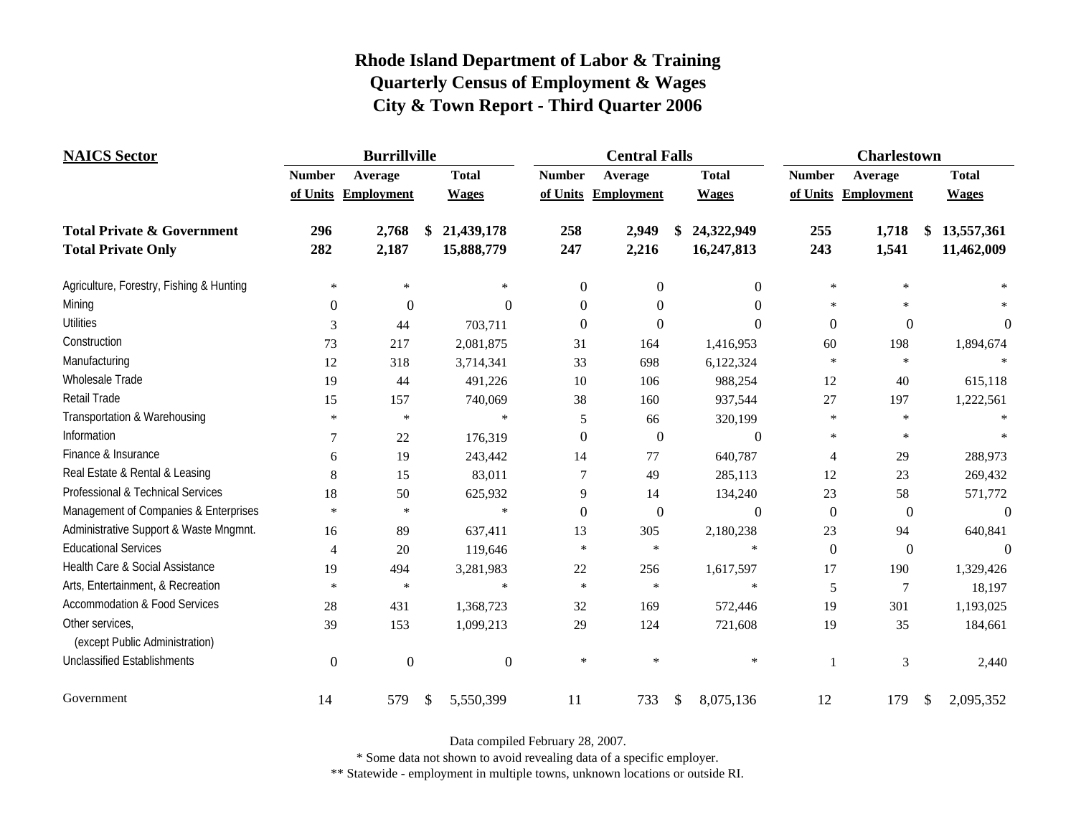| <b>NAICS</b> Sector                               | <b>Burrillville</b> |                     |               |                  | <b>Central Falls</b> |                     |    |              | <b>Charlestown</b> |                     |    |              |
|---------------------------------------------------|---------------------|---------------------|---------------|------------------|----------------------|---------------------|----|--------------|--------------------|---------------------|----|--------------|
|                                                   | <b>Number</b>       | Average             | <b>Total</b>  |                  | <b>Number</b>        | Average             |    | <b>Total</b> | <b>Number</b>      | Average             |    | <b>Total</b> |
|                                                   |                     | of Units Employment | <b>Wages</b>  |                  |                      | of Units Employment |    | <b>Wages</b> |                    | of Units Employment |    | <b>Wages</b> |
| <b>Total Private &amp; Government</b>             | 296                 | 2,768               | \$            | 21,439,178       | 258                  | 2,949               | \$ | 24,322,949   | 255                | 1,718               | \$ | 13,557,361   |
| <b>Total Private Only</b>                         | 282                 | 2,187               |               | 15,888,779       | 247                  | 2,216               |    | 16,247,813   | 243                | 1,541               |    | 11,462,009   |
| Agriculture, Forestry, Fishing & Hunting          | $\ast$              | $\ast$              |               | $\ast$           | $\overline{0}$       | $\theta$            |    | $\Omega$     | $\ast$             | $\ast$              |    |              |
| Mining                                            | $\Omega$            | $\Omega$            |               | 0                | $\Omega$             | $\Omega$            |    | $\Omega$     | *.                 | $\star$             |    |              |
| <b>Utilities</b>                                  | 3                   | 44                  |               | 703,711          | $\Omega$             | $\theta$            |    | $\theta$     | $\Omega$           | $\boldsymbol{0}$    |    | $\theta$     |
| Construction                                      | 73                  | 217                 |               | 2,081,875        | 31                   | 164                 |    | 1,416,953    | 60                 | 198                 |    | 1,894,674    |
| Manufacturing                                     | 12                  | 318                 |               | 3,714,341        | 33                   | 698                 |    | 6,122,324    | $\star$            | $\ast$              |    |              |
| Wholesale Trade                                   | 19                  | 44                  |               | 491,226          | 10                   | 106                 |    | 988,254      | 12                 | 40                  |    | 615,118      |
| Retail Trade                                      | 15                  | 157                 |               | 740,069          | 38                   | 160                 |    | 937,544      | 27                 | 197                 |    | 1,222,561    |
| Transportation & Warehousing                      | $\ast$              | $\ast$              |               | $\ast$           | 5                    | 66                  |    | 320,199      | $\ast$             | $\ast$              |    |              |
| Information                                       | 7                   | 22                  |               | 176,319          | $\Omega$             | $\overline{0}$      |    | $\theta$     | $\ast$             | $\ast$              |    |              |
| Finance & Insurance                               | 6                   | 19                  |               | 243,442          | 14                   | 77                  |    | 640,787      | $\overline{4}$     | 29                  |    | 288,973      |
| Real Estate & Rental & Leasing                    | 8                   | 15                  |               | 83,011           |                      | 49                  |    | 285,113      | 12                 | 23                  |    | 269,432      |
| Professional & Technical Services                 | 18                  | 50                  |               | 625,932          | 9                    | 14                  |    | 134,240      | 23                 | 58                  |    | 571,772      |
| Management of Companies & Enterprises             | $\ast$              | $\ast$              |               | $\star$          | $\Omega$             | $\overline{0}$      |    | $\theta$     | $\overline{0}$     | $\boldsymbol{0}$    |    | $\theta$     |
| Administrative Support & Waste Mngmnt.            | 16                  | 89                  |               | 637,411          | 13                   | 305                 |    | 2,180,238    | 23                 | 94                  |    | 640,841      |
| <b>Educational Services</b>                       | $\overline{4}$      | 20                  |               | 119,646          | $\ast$               | $\ast$              |    | $\ast$       | $\Omega$           | $\boldsymbol{0}$    |    | $\Omega$     |
| Health Care & Social Assistance                   | 19                  | 494                 |               | 3,281,983        | 22                   | 256                 |    | 1,617,597    | 17                 | 190                 |    | 1,329,426    |
| Arts, Entertainment, & Recreation                 | $\ast$              | $\ast$              |               | $\star$          | $\star$              | $\ast$              |    | $\star$      | 5                  | 7                   |    | 18,197       |
| <b>Accommodation &amp; Food Services</b>          | 28                  | 431                 |               | 1,368,723        | 32                   | 169                 |    | 572,446      | 19                 | 301                 |    | 1,193,025    |
| Other services,<br>(except Public Administration) | 39                  | 153                 |               | 1,099,213        | 29                   | 124                 |    | 721,608      | 19                 | 35                  |    | 184,661      |
| <b>Unclassified Establishments</b>                | $\overline{0}$      | $\overline{0}$      |               | $\boldsymbol{0}$ | $\ast$               | $\ast$              |    | $\ast$       | 1                  | 3                   |    | 2,440        |
| Government                                        | 14                  | 579                 | $\mathcal{S}$ | 5,550,399        | 11                   | 733                 | \$ | 8,075,136    | 12                 | 179                 | \$ | 2,095,352    |

Data compiled February 28, 2007.

\* Some data not shown to avoid revealing data of a specific employer.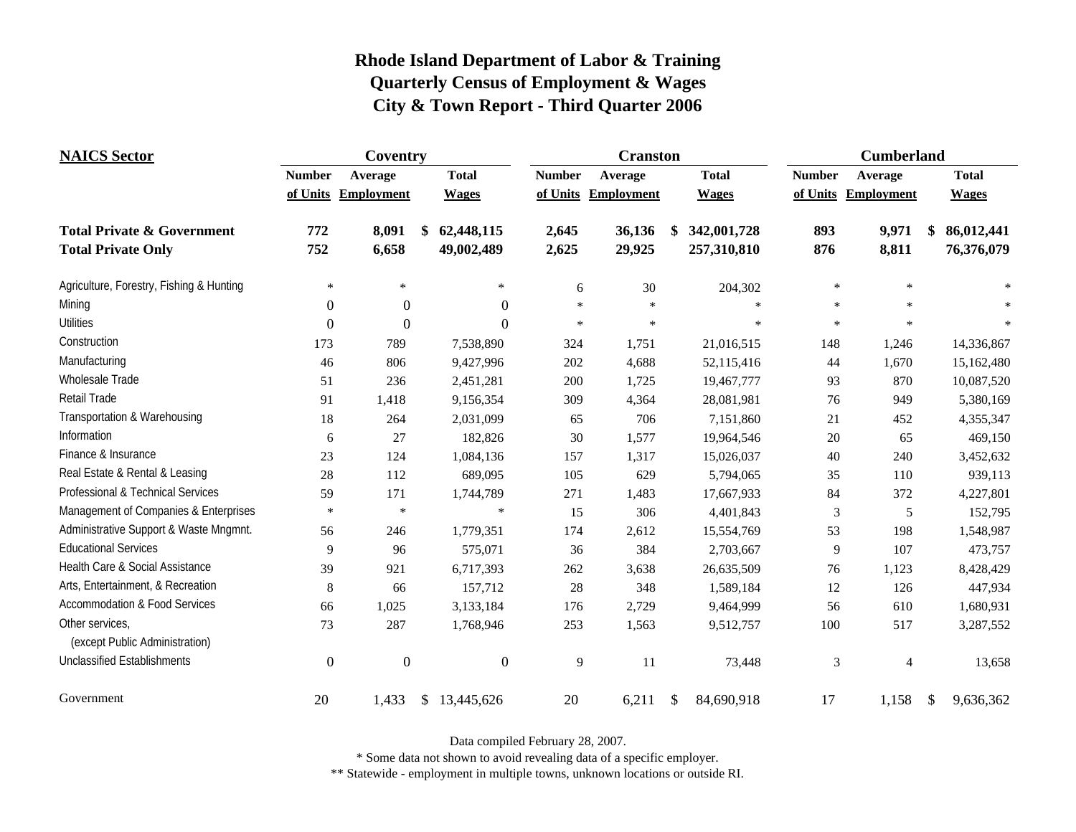| <b>NAICS</b> Sector                               | Coventry       |                     |                  |               | <b>Cranston</b>     |                   | <b>Cumberland</b> |                     |                  |  |
|---------------------------------------------------|----------------|---------------------|------------------|---------------|---------------------|-------------------|-------------------|---------------------|------------------|--|
|                                                   | <b>Number</b>  | Average             | <b>Total</b>     | <b>Number</b> | Average             | <b>Total</b>      | <b>Number</b>     | Average             | <b>Total</b>     |  |
|                                                   |                | of Units Employment | <b>Wages</b>     |               | of Units Employment | <b>Wages</b>      |                   | of Units Employment | <b>Wages</b>     |  |
| <b>Total Private &amp; Government</b>             | 772            | 8,091               | \$<br>62,448,115 | 2,645         | 36,136              | 342,001,728<br>\$ | 893               | 9,971               | 86,012,441<br>\$ |  |
| <b>Total Private Only</b>                         | 752            | 6,658               | 49,002,489       | 2,625         | 29,925              | 257,310,810       | 876               | 8,811               | 76,376,079       |  |
| Agriculture, Forestry, Fishing & Hunting          | $\ast$         | $\ast$              | $\ast$           | 6             | 30                  | 204,302           | $\ast$            | $\ast$              |                  |  |
| Mining                                            | $\theta$       | $\theta$            | $\Omega$         | $\ast$        | $\star$             | $\ast$            | $\ast$            | $\ast$              |                  |  |
| <b>Utilities</b>                                  | $\theta$       | $\overline{0}$      | $\Omega$         | $\ast$        | $\star$             | $\star$           | $\star$           | $\star$             |                  |  |
| Construction                                      | 173            | 789                 | 7,538,890        | 324           | 1,751               | 21,016,515        | 148               | 1,246               | 14,336,867       |  |
| Manufacturing                                     | 46             | 806                 | 9,427,996        | 202           | 4,688               | 52,115,416        | 44                | 1,670               | 15,162,480       |  |
| Wholesale Trade                                   | 51             | 236                 | 2,451,281        | 200           | 1,725               | 19,467,777        | 93                | 870                 | 10,087,520       |  |
| <b>Retail Trade</b>                               | 91             | 1,418               | 9,156,354        | 309           | 4,364               | 28,081,981        | 76                | 949                 | 5,380,169        |  |
| Transportation & Warehousing                      | 18             | 264                 | 2,031,099        | 65            | 706                 | 7,151,860         | 21                | 452                 | 4,355,347        |  |
| Information                                       | 6              | 27                  | 182,826          | 30            | 1,577               | 19,964,546        | $20\,$            | 65                  | 469,150          |  |
| Finance & Insurance                               | 23             | 124                 | 1,084,136        | 157           | 1,317               | 15,026,037        | 40                | 240                 | 3,452,632        |  |
| Real Estate & Rental & Leasing                    | $28\,$         | 112                 | 689,095          | 105           | 629                 | 5,794,065         | 35                | 110                 | 939,113          |  |
| Professional & Technical Services                 | 59             | 171                 | 1,744,789        | 271           | 1,483               | 17,667,933        | 84                | 372                 | 4,227,801        |  |
| Management of Companies & Enterprises             | $\ast$         | $\ast$              | $\ast$           | 15            | 306                 | 4,401,843         | $\mathfrak{Z}$    | 5                   | 152,795          |  |
| Administrative Support & Waste Mngmnt.            | 56             | 246                 | 1,779,351        | 174           | 2,612               | 15,554,769        | 53                | 198                 | 1,548,987        |  |
| <b>Educational Services</b>                       | 9              | 96                  | 575,071          | 36            | 384                 | 2,703,667         | 9                 | 107                 | 473,757          |  |
| Health Care & Social Assistance                   | 39             | 921                 | 6,717,393        | 262           | 3,638               | 26,635,509        | 76                | 1,123               | 8,428,429        |  |
| Arts, Entertainment, & Recreation                 | 8              | 66                  | 157,712          | 28            | 348                 | 1,589,184         | 12                | 126                 | 447,934          |  |
| <b>Accommodation &amp; Food Services</b>          | 66             | 1,025               | 3,133,184        | 176           | 2,729               | 9,464,999         | 56                | 610                 | 1,680,931        |  |
| Other services,<br>(except Public Administration) | 73             | 287                 | 1,768,946        | 253           | 1,563               | 9,512,757         | 100               | 517                 | 3,287,552        |  |
| <b>Unclassified Establishments</b>                | $\overline{0}$ | $\boldsymbol{0}$    | $\mathbf{0}$     | 9             | 11                  | 73,448            | 3                 | $\overline{4}$      | 13,658           |  |
| Government                                        | 20             | 1,433               | \$13,445,626     | 20            | 6,211               | \$<br>84,690,918  | 17                | 1,158               | 9,636,362<br>\$  |  |

Data compiled February 28, 2007.

\* Some data not shown to avoid revealing data of a specific employer.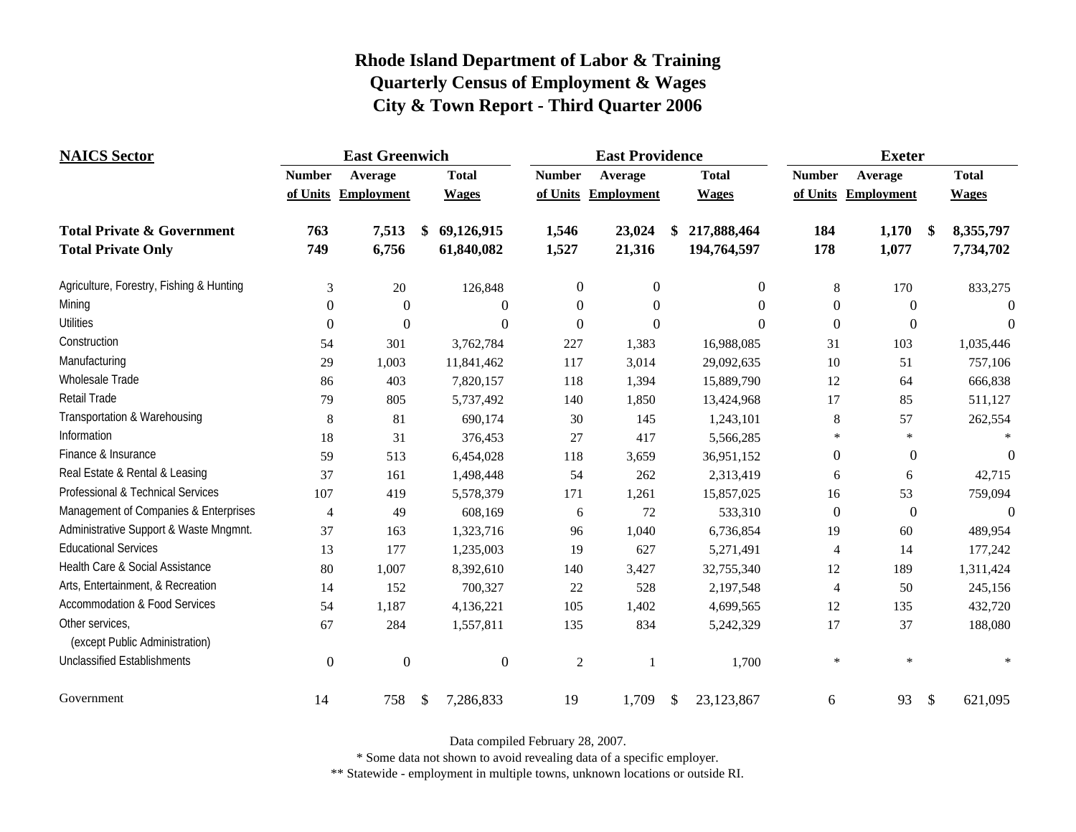| <b>NAICS</b> Sector                               | <b>East Greenwich</b> |                     |              |                  | <b>East Providence</b> |                     |               |              | <b>Exeter</b>    |                     |               |              |
|---------------------------------------------------|-----------------------|---------------------|--------------|------------------|------------------------|---------------------|---------------|--------------|------------------|---------------------|---------------|--------------|
|                                                   | <b>Number</b>         | Average             | <b>Total</b> |                  | <b>Number</b>          | Average             |               | <b>Total</b> | <b>Number</b>    | Average             |               | <b>Total</b> |
|                                                   |                       | of Units Employment | <b>Wages</b> |                  |                        | of Units Employment |               | <b>Wages</b> |                  | of Units Employment |               | <b>Wages</b> |
| <b>Total Private &amp; Government</b>             | 763                   | 7,513               | \$           | 69,126,915       | 1,546                  | 23,024              |               | 217,888,464  | 184              | 1,170               | $\frac{1}{2}$ | 8,355,797    |
| <b>Total Private Only</b>                         | 749                   | 6,756               |              | 61,840,082       | 1,527                  | 21,316              |               | 194,764,597  | 178              | 1,077               |               | 7,734,702    |
| Agriculture, Forestry, Fishing & Hunting          | 3                     | 20                  |              | 126,848          | $\boldsymbol{0}$       | $\boldsymbol{0}$    |               | $\mathbf{0}$ | 8                | 170                 |               | 833,275      |
| Mining                                            | $\theta$              | $\boldsymbol{0}$    |              | $\Omega$         | $\Omega$               | 0                   |               | $\Omega$     | $\theta$         | $\overline{0}$      |               | $\Omega$     |
| <b>Utilities</b>                                  | $\boldsymbol{0}$      | $\boldsymbol{0}$    |              | $\boldsymbol{0}$ | $\boldsymbol{0}$       | $\overline{0}$      |               | $\Omega$     | $\overline{0}$   | $\boldsymbol{0}$    |               | $\theta$     |
| Construction                                      | 54                    | 301                 |              | 3,762,784        | 227                    | 1,383               |               | 16,988,085   | 31               | 103                 |               | 1,035,446    |
| Manufacturing                                     | 29                    | 1,003               |              | 11,841,462       | 117                    | 3,014               |               | 29,092,635   | 10               | 51                  |               | 757,106      |
| Wholesale Trade                                   | 86                    | 403                 |              | 7,820,157        | 118                    | 1,394               |               | 15,889,790   | 12               | 64                  |               | 666,838      |
| <b>Retail Trade</b>                               | 79                    | 805                 |              | 5,737,492        | 140                    | 1,850               |               | 13,424,968   | $17\,$           | 85                  |               | 511,127      |
| Transportation & Warehousing                      | 8                     | 81                  |              | 690,174          | 30                     | 145                 |               | 1,243,101    | 8                | 57                  |               | 262,554      |
| Information                                       | 18                    | 31                  |              | 376,453          | 27                     | 417                 |               | 5,566,285    | $\star$          | $\ast$              |               |              |
| Finance & Insurance                               | 59                    | 513                 |              | 6,454,028        | 118                    | 3,659               |               | 36,951,152   | $\boldsymbol{0}$ | $\boldsymbol{0}$    |               | $\Omega$     |
| Real Estate & Rental & Leasing                    | 37                    | 161                 |              | 1,498,448        | 54                     | 262                 |               | 2,313,419    | 6                | 6                   |               | 42,715       |
| Professional & Technical Services                 | 107                   | 419                 |              | 5,578,379        | 171                    | 1,261               |               | 15,857,025   | 16               | 53                  |               | 759,094      |
| Management of Companies & Enterprises             | $\overline{4}$        | 49                  |              | 608,169          | 6                      | 72                  |               | 533,310      | $\boldsymbol{0}$ | $\boldsymbol{0}$    |               | $\theta$     |
| Administrative Support & Waste Mngmnt.            | 37                    | 163                 |              | 1,323,716        | 96                     | 1,040               |               | 6,736,854    | 19               | 60                  |               | 489,954      |
| <b>Educational Services</b>                       | 13                    | 177                 |              | 1,235,003        | 19                     | 627                 |               | 5,271,491    | $\overline{4}$   | 14                  |               | 177,242      |
| Health Care & Social Assistance                   | 80                    | 1,007               |              | 8,392,610        | 140                    | 3,427               |               | 32,755,340   | 12               | 189                 |               | 1,311,424    |
| Arts, Entertainment, & Recreation                 | 14                    | 152                 |              | 700,327          | 22                     | 528                 |               | 2,197,548    | 4                | 50                  |               | 245,156      |
| <b>Accommodation &amp; Food Services</b>          | 54                    | 1,187               |              | 4,136,221        | 105                    | 1,402               |               | 4,699,565    | 12               | 135                 |               | 432,720      |
| Other services,<br>(except Public Administration) | 67                    | 284                 |              | 1,557,811        | 135                    | 834                 |               | 5,242,329    | 17               | 37                  |               | 188,080      |
| <b>Unclassified Establishments</b>                | $\mathbf{0}$          | $\boldsymbol{0}$    |              | $\overline{0}$   | $\overline{2}$         |                     |               | 1,700        | $\ast$           | $\ast$              |               |              |
| Government                                        | 14                    | 758                 | \$           | 7,286,833        | 19                     | 1,709               | <sup>\$</sup> | 23,123,867   | 6                | 93                  | $\mathcal{S}$ | 621,095      |

Data compiled February 28, 2007.

\* Some data not shown to avoid revealing data of a specific employer.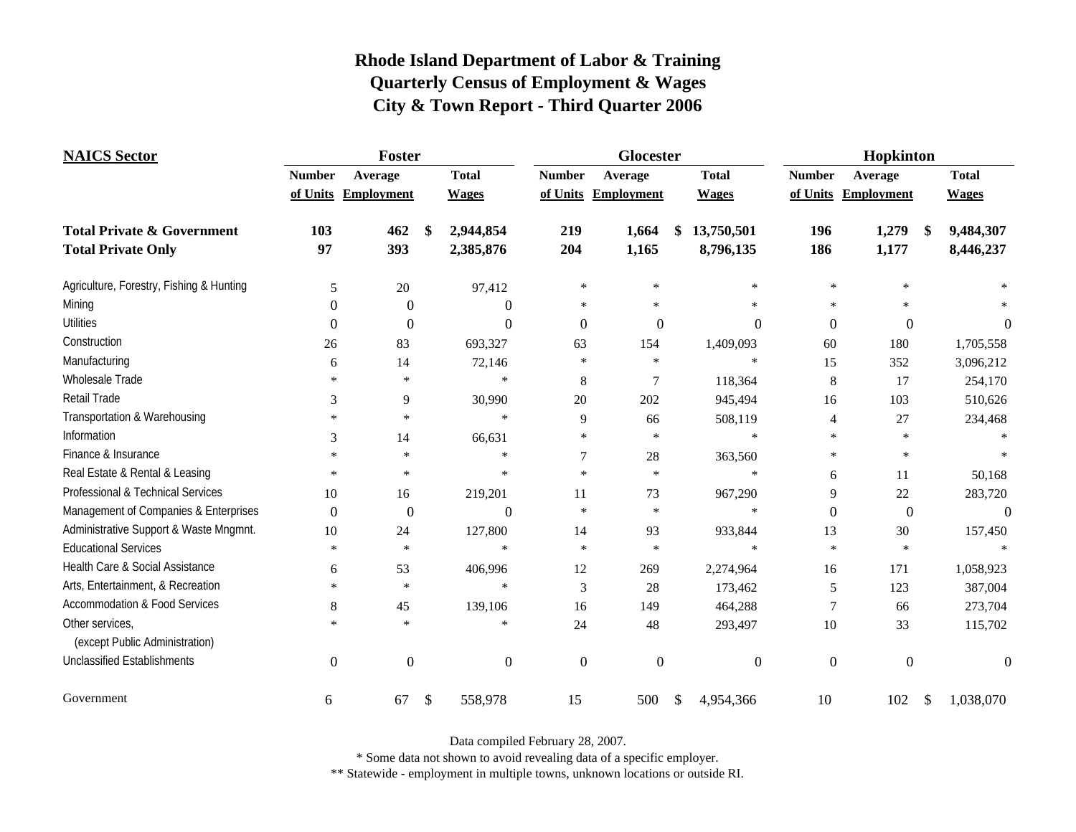| <b>NAICS</b> Sector                               | Foster         |                     |    |              |               | Glocester           |    | Hopkinton      |                  |                     |     |              |
|---------------------------------------------------|----------------|---------------------|----|--------------|---------------|---------------------|----|----------------|------------------|---------------------|-----|--------------|
|                                                   | <b>Number</b>  | Average             |    | <b>Total</b> | <b>Number</b> | Average             |    | <b>Total</b>   | <b>Number</b>    | Average             |     | <b>Total</b> |
|                                                   |                | of Units Employment |    | <b>Wages</b> |               | of Units Employment |    | <b>Wages</b>   |                  | of Units Employment |     | <b>Wages</b> |
| <b>Total Private &amp; Government</b>             | 103            | 462                 | \$ | 2,944,854    | 219           | 1,664               | \$ | 13,750,501     | 196              | 1,279               | -\$ | 9,484,307    |
| <b>Total Private Only</b>                         | 97             | 393                 |    | 2,385,876    | 204           | 1,165               |    | 8,796,135      | 186              | 1,177               |     | 8,446,237    |
| Agriculture, Forestry, Fishing & Hunting          | 5              | $20\,$              |    | 97,412       | $\ast$        | $\star$             |    | $\ast$         | $\star$          | $\star$             |     |              |
| Mining                                            | $\Omega$       | $\Omega$            |    | $\theta$     | $\star$       | $\frac{1}{2}$       |    | $\frac{1}{2}$  | $\star$          | $\star$             |     |              |
| <b>Utilities</b>                                  | $\Omega$       | $\Omega$            |    | $\Omega$     | $\Omega$      | $\theta$            |    | $\overline{0}$ | $\overline{0}$   | $\theta$            |     | $\theta$     |
| Construction                                      | 26             | 83                  |    | 693,327      | 63            | 154                 |    | 1,409,093      | 60               | 180                 |     | 1,705,558    |
| Manufacturing                                     | 6              | 14                  |    | 72,146       | $\star$       | $\star$             |    | $\ast$         | 15               | 352                 |     | 3,096,212    |
| Wholesale Trade                                   | $\ast$         | $\ast$              |    | $\star$      | 8             | $\overline{7}$      |    | 118,364        | $\,8\,$          | 17                  |     | 254,170      |
| Retail Trade                                      | 3              | 9                   |    | 30,990       | 20            | 202                 |    | 945,494        | 16               | 103                 |     | 510,626      |
| Transportation & Warehousing                      | $\ast$         | $\ast$              |    | $\ast$       | 9             | 66                  |    | 508,119        | 4                | 27                  |     | 234,468      |
| Information                                       | 3              | 14                  |    | 66,631       | $\ast$        | $\ast$              |    | $\ast$         | $\ast$           | $\ast$              |     |              |
| Finance & Insurance                               | $\ast$         | $\ast$              |    | $\star$      |               | $28\,$              |    | 363,560        | $\ast$           | $\ast$              |     |              |
| Real Estate & Rental & Leasing                    | $\ast$         | $\ast$              |    | $\ast$       | $\star$       | $\ast$              |    | $\ast$         | 6                | 11                  |     | 50,168       |
| Professional & Technical Services                 | 10             | 16                  |    | 219,201      | 11            | 73                  |    | 967,290        | 9                | 22                  |     | 283,720      |
| Management of Companies & Enterprises             | $\Omega$       | $\theta$            |    | $\theta$     | $\ast$        | $\ast$              |    | $\ast$         | $\Omega$         | $\overline{0}$      |     | $\Omega$     |
| Administrative Support & Waste Mngmnt.            | 10             | 24                  |    | 127,800      | 14            | 93                  |    | 933,844        | 13               | 30                  |     | 157,450      |
| <b>Educational Services</b>                       | $\star$        | $\ast$              |    | $\star$      | $\star$       | $\ast$              |    | $\frac{1}{2}$  | $\ast$           | $\ast$              |     |              |
| Health Care & Social Assistance                   | 6              | 53                  |    | 406,996      | 12            | 269                 |    | 2,274,964      | 16               | 171                 |     | 1,058,923    |
| Arts, Entertainment, & Recreation                 | $\ast$         | $\ast$              |    | $\star$      | 3             | 28                  |    | 173,462        | 5                | 123                 |     | 387,004      |
| <b>Accommodation &amp; Food Services</b>          | 8              | 45                  |    | 139,106      | 16            | 149                 |    | 464,288        | 7                | 66                  |     | 273,704      |
| Other services,<br>(except Public Administration) | $\mathbf{x}$   | $\star$             |    | $\star$      | 24            | 48                  |    | 293,497        | $10\,$           | 33                  |     | 115,702      |
| <b>Unclassified Establishments</b>                | $\overline{0}$ | $\theta$            |    | $\Omega$     | $\theta$      | $\theta$            |    | $\overline{0}$ | $\boldsymbol{0}$ | $\mathbf{0}$        |     | $\theta$     |
| Government                                        | 6              | 67                  | \$ | 558,978      | 15            | 500                 | \$ | 4,954,366      | 10               | 102                 | \$  | 1,038,070    |

Data compiled February 28, 2007.

\* Some data not shown to avoid revealing data of a specific employer.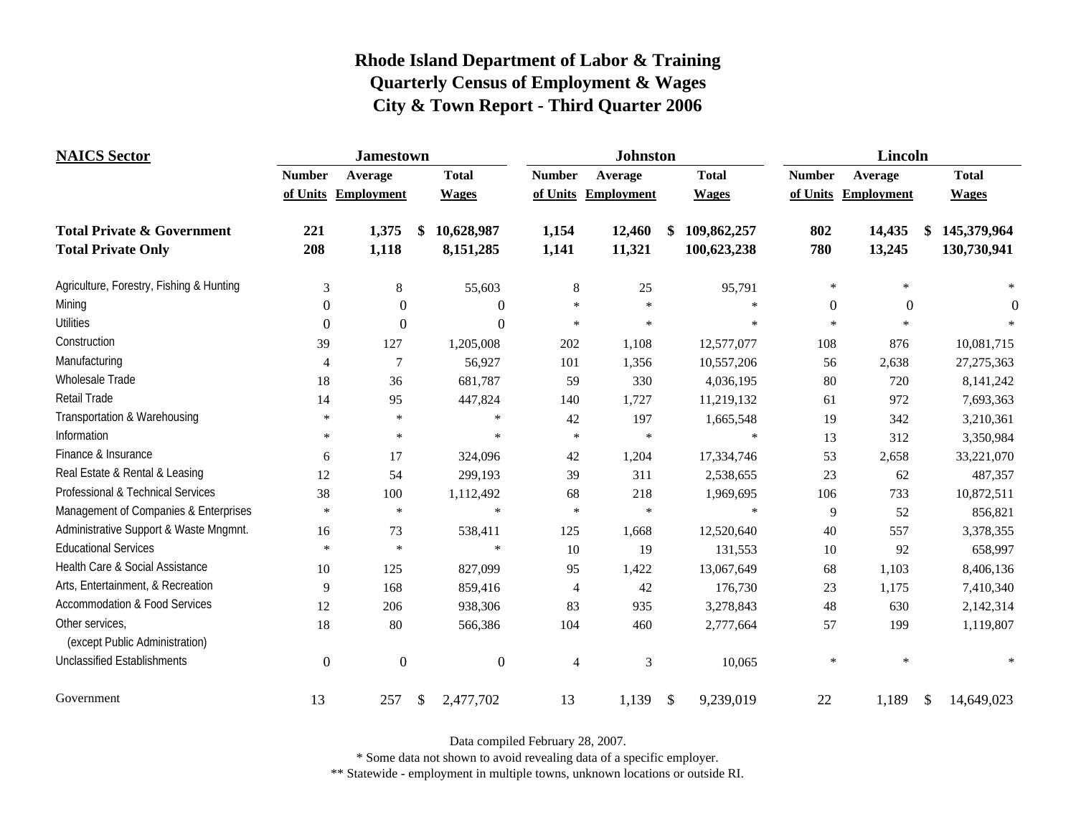| <b>NAICS</b> Sector                               | <b>Jamestown</b> |                     |                  |               | <b>Johnston</b>     |                   | Lincoln       |                     |                   |  |
|---------------------------------------------------|------------------|---------------------|------------------|---------------|---------------------|-------------------|---------------|---------------------|-------------------|--|
|                                                   | <b>Number</b>    | Average             | <b>Total</b>     | <b>Number</b> | Average             | <b>Total</b>      | <b>Number</b> | Average             | <b>Total</b>      |  |
|                                                   |                  | of Units Employment | <b>Wages</b>     |               | of Units Employment | <b>Wages</b>      |               | of Units Employment | <b>Wages</b>      |  |
| <b>Total Private &amp; Government</b>             | 221              | 1,375               | 10,628,987<br>\$ | 1,154         | 12,460              | 109,862,257<br>\$ | 802           | 14,435              | 145,379,964<br>\$ |  |
| <b>Total Private Only</b>                         | 208              | 1,118               | 8,151,285        | 1,141         | 11,321              | 100,623,238       | 780           | 13,245              | 130,730,941       |  |
| Agriculture, Forestry, Fishing & Hunting          | 3                | $\,8\,$             | 55,603           | $\,8\,$       | 25                  | 95,791            | $\ast$        | ×                   |                   |  |
| Mining                                            | $\Omega$         | $\theta$            | $\theta$         | $\ast$        | $\ast$              | $\ast$            | $\mathbf{0}$  | $\theta$            | $\theta$          |  |
| <b>Utilities</b>                                  | $\theta$         | $\Omega$            | $\theta$         | $\ast$        | $\ast$              | $\star$           | $\ast$        |                     |                   |  |
| Construction                                      | 39               | 127                 | 1,205,008        | 202           | 1,108               | 12,577,077        | 108           | 876                 | 10,081,715        |  |
| Manufacturing                                     | 4                | $\tau$              | 56,927           | 101           | 1,356               | 10,557,206        | 56            | 2,638               | 27,275,363        |  |
| <b>Wholesale Trade</b>                            | 18               | 36                  | 681,787          | 59            | 330                 | 4,036,195         | 80            | 720                 | 8,141,242         |  |
| Retail Trade                                      | 14               | 95                  | 447,824          | 140           | 1,727               | 11,219,132        | 61            | 972                 | 7,693,363         |  |
| Transportation & Warehousing                      | $\ast$           | $\ast$              | $\ast$           | 42            | 197                 | 1,665,548         | 19            | 342                 | 3,210,361         |  |
| Information                                       | $\ast$           | $\ast$              | $\ast$           | $\ast$        | $\ast$              | $\ast$            | 13            | 312                 | 3,350,984         |  |
| Finance & Insurance                               | 6                | 17                  | 324,096          | 42            | 1,204               | 17,334,746        | 53            | 2,658               | 33,221,070        |  |
| Real Estate & Rental & Leasing                    | 12               | 54                  | 299,193          | 39            | 311                 | 2,538,655         | 23            | 62                  | 487,357           |  |
| Professional & Technical Services                 | 38               | 100                 | 1,112,492        | 68            | 218                 | 1,969,695         | 106           | 733                 | 10,872,511        |  |
| Management of Companies & Enterprises             | $\ast$           | $\ast$              | $\ast$           | $\ast$        | $\ast$              | $\ast$            | 9             | 52                  | 856,821           |  |
| Administrative Support & Waste Mngmnt.            | 16               | 73                  | 538,411          | 125           | 1,668               | 12,520,640        | 40            | 557                 | 3,378,355         |  |
| <b>Educational Services</b>                       | $\ast$           | $\ast$              | $\ast$           | 10            | 19                  | 131,553           | 10            | 92                  | 658,997           |  |
| Health Care & Social Assistance                   | 10               | 125                 | 827,099          | 95            | 1,422               | 13,067,649        | 68            | 1,103               | 8,406,136         |  |
| Arts, Entertainment, & Recreation                 | 9                | 168                 | 859,416          | 4             | 42                  | 176,730           | 23            | 1,175               | 7,410,340         |  |
| <b>Accommodation &amp; Food Services</b>          | 12               | 206                 | 938,306          | 83            | 935                 | 3,278,843         | 48            | 630                 | 2,142,314         |  |
| Other services,<br>(except Public Administration) | 18               | 80                  | 566,386          | 104           | 460                 | 2,777,664         | 57            | 199                 | 1,119,807         |  |
| <b>Unclassified Establishments</b>                | $\boldsymbol{0}$ | $\Omega$            | $\overline{0}$   | 4             | 3                   | 10,065            | $\ast$        | $\star$             |                   |  |
| Government                                        | 13               | 257                 | \$<br>2,477,702  | 13            | 1,139               | 9,239,019<br>\$   | 22            | 1,189               | \$<br>14,649,023  |  |

Data compiled February 28, 2007.

\* Some data not shown to avoid revealing data of a specific employer.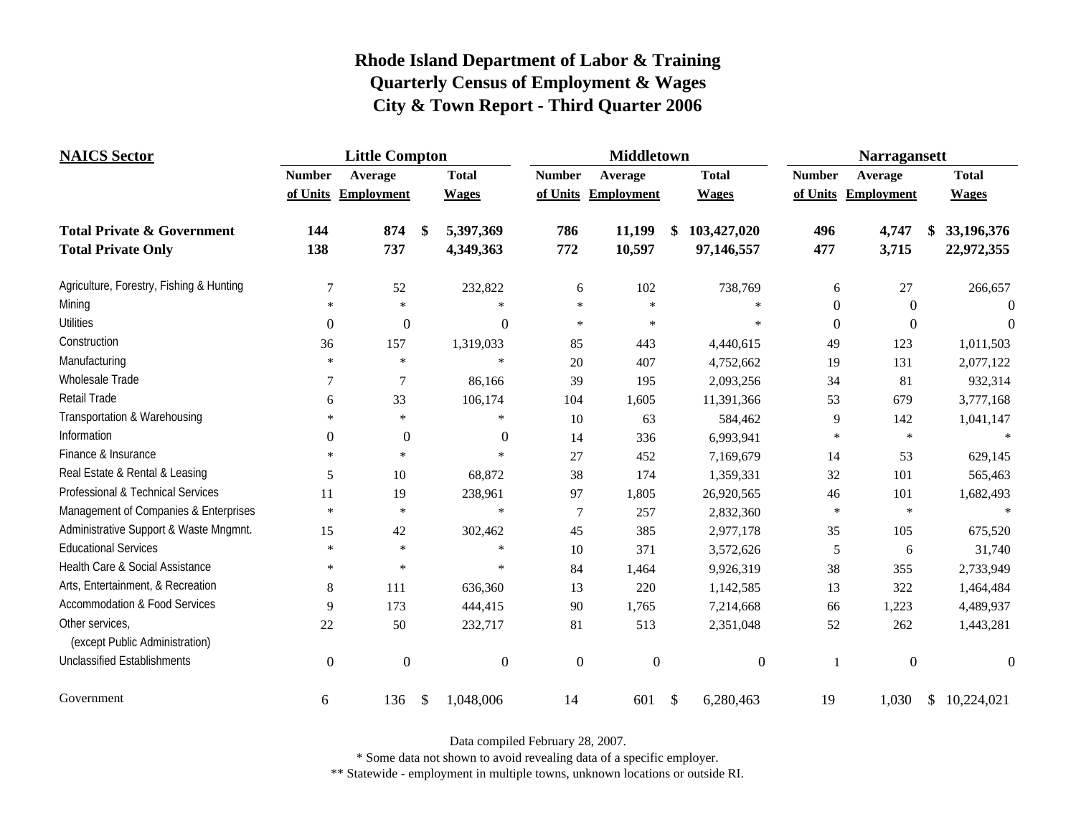| <b>NAICS</b> Sector                               | <b>Little Compton</b> |                     |                           |                | <b>Middletown</b> |                     |               |                | <b>Narragansett</b> |                     |    |              |
|---------------------------------------------------|-----------------------|---------------------|---------------------------|----------------|-------------------|---------------------|---------------|----------------|---------------------|---------------------|----|--------------|
|                                                   | <b>Number</b>         | Average             |                           | <b>Total</b>   | <b>Number</b>     | Average             |               | <b>Total</b>   | <b>Number</b>       | Average             |    | <b>Total</b> |
|                                                   |                       | of Units Employment |                           | <b>Wages</b>   |                   | of Units Employment |               | <b>Wages</b>   |                     | of Units Employment |    | <b>Wages</b> |
| <b>Total Private &amp; Government</b>             | 144                   | 874                 | \$                        | 5,397,369      | 786               | 11,199              | \$            | 103,427,020    | 496                 | 4,747               |    | 33,196,376   |
| <b>Total Private Only</b>                         | 138                   | 737                 |                           | 4,349,363      | 772               | 10,597              |               | 97,146,557     | 477                 | 3,715               |    | 22,972,355   |
| Agriculture, Forestry, Fishing & Hunting          | $\tau$                | 52                  |                           | 232,822        | 6                 | 102                 |               | 738,769        | 6                   | 27                  |    | 266,657      |
| Mining                                            | $\ast$                | $\star$             |                           | $\ast$         | $\ast$            | $\star$             |               | $\ast$         | $\boldsymbol{0}$    | $\boldsymbol{0}$    |    |              |
| <b>Utilities</b>                                  | $\boldsymbol{0}$      | $\overline{0}$      |                           | $\overline{0}$ | $\star$           | $\ast$              |               | $\star$        | $\boldsymbol{0}$    | $\boldsymbol{0}$    |    | $\theta$     |
| Construction                                      | 36                    | 157                 |                           | 1,319,033      | 85                | 443                 |               | 4,440,615      | 49                  | 123                 |    | 1,011,503    |
| Manufacturing                                     | $\ast$                | $\ast$              |                           | $\ast$         | 20                | 407                 |               | 4,752,662      | 19                  | 131                 |    | 2,077,122    |
| Wholesale Trade                                   | 7                     | $\tau$              |                           | 86,166         | 39                | 195                 |               | 2,093,256      | 34                  | 81                  |    | 932,314      |
| Retail Trade                                      | 6                     | 33                  |                           | 106,174        | 104               | 1,605               |               | 11,391,366     | 53                  | 679                 |    | 3,777,168    |
| Transportation & Warehousing                      | $\ast$                | $\star$             |                           | $\ast$         | 10                | 63                  |               | 584,462        | 9                   | 142                 |    | 1,041,147    |
| Information                                       | $\Omega$              | $\boldsymbol{0}$    |                           | $\overline{0}$ | 14                | 336                 |               | 6,993,941      | $\ast$              | $\ast$              |    |              |
| Finance & Insurance                               | $\star$               | $\ast$              |                           | $\ast$         | 27                | 452                 |               | 7,169,679      | 14                  | 53                  |    | 629,145      |
| Real Estate & Rental & Leasing                    | 5                     | 10                  |                           | 68,872         | 38                | 174                 |               | 1,359,331      | 32                  | 101                 |    | 565,463      |
| Professional & Technical Services                 | 11                    | 19                  |                           | 238,961        | 97                | 1,805               |               | 26,920,565     | 46                  | 101                 |    | 1,682,493    |
| Management of Companies & Enterprises             | $\star$               | $\ast$              |                           | $\star$        | 7                 | 257                 |               | 2,832,360      | $\ast$              | $\ast$              |    | $\star$      |
| Administrative Support & Waste Mngmnt.            | 15                    | 42                  |                           | 302,462        | 45                | 385                 |               | 2,977,178      | 35                  | 105                 |    | 675,520      |
| <b>Educational Services</b>                       | $\ast$                | $\ast$              |                           | $\ast$         | 10                | 371                 |               | 3,572,626      | 5                   | 6                   |    | 31,740       |
| Health Care & Social Assistance                   | $\star$               | $\ast$              |                           | $\ast$         | 84                | 1,464               |               | 9,926,319      | 38                  | 355                 |    | 2,733,949    |
| Arts, Entertainment, & Recreation                 | 8                     | 111                 |                           | 636,360        | 13                | 220                 |               | 1,142,585      | 13                  | 322                 |    | 1,464,484    |
| <b>Accommodation &amp; Food Services</b>          | 9                     | 173                 |                           | 444,415        | 90                | 1,765               |               | 7,214,668      | 66                  | 1,223               |    | 4,489,937    |
| Other services,<br>(except Public Administration) | 22                    | 50                  |                           | 232,717        | 81                | 513                 |               | 2,351,048      | 52                  | 262                 |    | 1,443,281    |
| <b>Unclassified Establishments</b>                | $\mathbf{0}$          | $\boldsymbol{0}$    |                           | $\mathbf{0}$   | $\boldsymbol{0}$  | $\boldsymbol{0}$    |               | $\overline{0}$ | 1                   | $\boldsymbol{0}$    |    | $\theta$     |
| Government                                        | 6                     | 136                 | $\boldsymbol{\mathsf{S}}$ | 1,048,006      | 14                | 601                 | $\mathcal{S}$ | 6,280,463      | 19                  | 1,030               | \$ | 10,224,021   |

Data compiled February 28, 2007.

\* Some data not shown to avoid revealing data of a specific employer.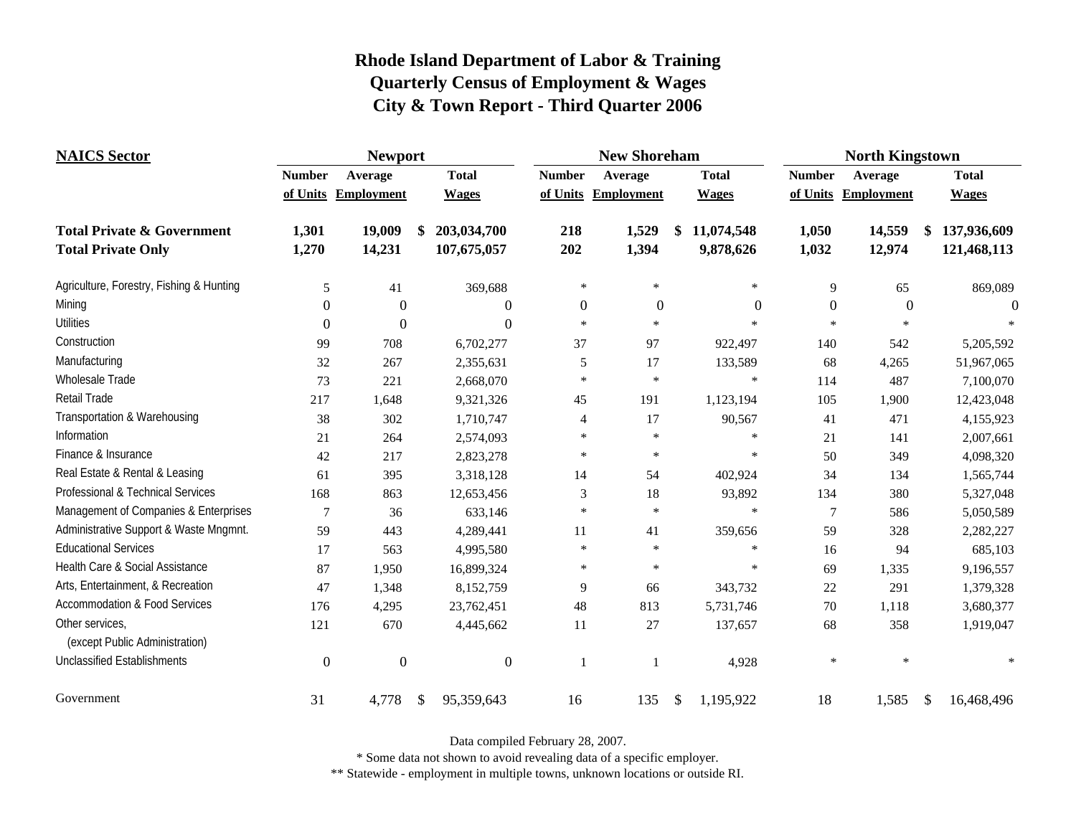| <b>NAICS</b> Sector                               | <b>Newport</b>   |                     |                  |                | <b>New Shoreham</b> |                  | <b>North Kingstown</b> |                   |                                         |  |
|---------------------------------------------------|------------------|---------------------|------------------|----------------|---------------------|------------------|------------------------|-------------------|-----------------------------------------|--|
|                                                   | <b>Number</b>    | Average             | <b>Total</b>     | <b>Number</b>  | Average             | <b>Total</b>     | <b>Number</b>          | Average           | <b>Total</b>                            |  |
|                                                   |                  | of Units Employment | <b>Wages</b>     |                | of Units Employment | <b>Wages</b>     | of Units               | <b>Employment</b> | <b>Wages</b>                            |  |
| <b>Total Private &amp; Government</b>             | 1,301            | 19,009              | 203,034,700      | 218            | 1,529               | \$<br>11,074,548 | 1,050                  | 14,559            | 137,936,609<br>\$                       |  |
| <b>Total Private Only</b>                         | 1,270            | 14,231              | 107,675,057      | 202            | 1,394               | 9,878,626        | 1,032                  | 12,974            | 121,468,113                             |  |
| Agriculture, Forestry, Fishing & Hunting          | 5                | 41                  | 369,688          | $\ast$         | $\ast$              | $\ast$           | 9                      | 65                | 869,089                                 |  |
| Mining                                            | $\Omega$         | $\Omega$            | $\theta$         | $\Omega$       | $\Omega$            | $\boldsymbol{0}$ | $\boldsymbol{0}$       | $\theta$          | $\Omega$                                |  |
| <b>Utilities</b>                                  | $\theta$         | $\theta$            | $\boldsymbol{0}$ | $\star$        | $\ast$              | $\star$          | $\star$                | $\mathbf{x}$      |                                         |  |
| Construction                                      | 99               | 708                 | 6,702,277        | 37             | 97                  | 922,497          | 140                    | 542               | 5,205,592                               |  |
| Manufacturing                                     | 32               | 267                 | 2,355,631        | 5              | 17                  | 133,589          | 68                     | 4,265             | 51,967,065                              |  |
| <b>Wholesale Trade</b>                            | 73               | 221                 | 2,668,070        | $\ast$         | $\ast$              | $\ast$           | 114                    | 487               | 7,100,070                               |  |
| <b>Retail Trade</b>                               | 217              | 1,648               | 9,321,326        | 45             | 191                 | 1,123,194        | 105                    | 1,900             | 12,423,048                              |  |
| Transportation & Warehousing                      | 38               | 302                 | 1,710,747        | $\overline{4}$ | 17                  | 90,567           | 41                     | 471               | 4,155,923                               |  |
| Information                                       | 21               | 264                 | 2,574,093        | $\star$        | $\ast$              | $\ast$           | 21                     | 141               | 2,007,661                               |  |
| Finance & Insurance                               | 42               | 217                 | 2,823,278        | $\ast$         | $\star$             | $\ast$           | 50                     | 349               | 4,098,320                               |  |
| Real Estate & Rental & Leasing                    | 61               | 395                 | 3,318,128        | 14             | 54                  | 402,924          | 34                     | 134               | 1,565,744                               |  |
| Professional & Technical Services                 | 168              | 863                 | 12,653,456       | 3              | 18                  | 93,892           | 134                    | 380               | 5,327,048                               |  |
| Management of Companies & Enterprises             | 7                | 36                  | 633,146          | $\ast$         | $\ast$              | $\ast$           | 7                      | 586               | 5,050,589                               |  |
| Administrative Support & Waste Mngmnt.            | 59               | 443                 | 4,289,441        | 11             | 41                  | 359,656          | 59                     | 328               | 2,282,227                               |  |
| <b>Educational Services</b>                       | 17               | 563                 | 4,995,580        | $\ast$         | $\ast$              | $\ast$           | 16                     | 94                | 685,103                                 |  |
| Health Care & Social Assistance                   | 87               | 1,950               | 16,899,324       | $\ast$         | $\star$             | $\ast$           | 69                     | 1,335             | 9,196,557                               |  |
| Arts, Entertainment, & Recreation                 | 47               | 1,348               | 8,152,759        | 9              | 66                  | 343,732          | 22                     | 291               | 1,379,328                               |  |
| <b>Accommodation &amp; Food Services</b>          | 176              | 4,295               | 23,762,451       | 48             | 813                 | 5,731,746        | 70                     | 1,118             | 3,680,377                               |  |
| Other services,<br>(except Public Administration) | 121              | 670                 | 4,445,662        | 11             | $27\,$              | 137,657          | 68                     | 358               | 1,919,047                               |  |
| <b>Unclassified Establishments</b>                | $\boldsymbol{0}$ | $\theta$            | $\overline{0}$   |                | $\mathbf{1}$        | 4,928            | $\ast$                 | $\ast$            |                                         |  |
| Government                                        | 31               | 4,778               | 95,359,643<br>\$ | 16             | 135                 | \$<br>1,195,922  | 18                     | 1,585             | $\boldsymbol{\mathsf{S}}$<br>16,468,496 |  |

Data compiled February 28, 2007.

\* Some data not shown to avoid revealing data of a specific employer.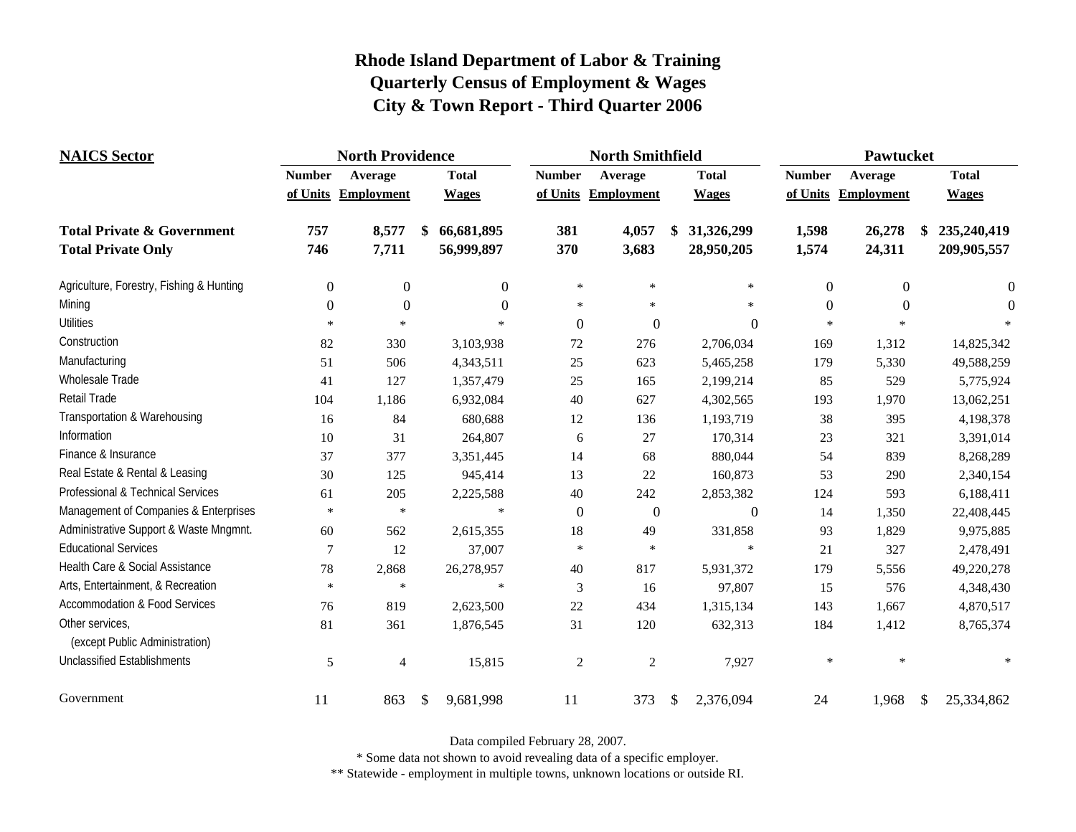| <b>NAICS</b> Sector                               | <b>North Providence</b> |                     |    |                | <b>North Smithfield</b> |                     |    |                  | Pawtucket     |            |    |              |
|---------------------------------------------------|-------------------------|---------------------|----|----------------|-------------------------|---------------------|----|------------------|---------------|------------|----|--------------|
|                                                   | <b>Number</b>           | Average             |    | <b>Total</b>   | <b>Number</b>           | Average             |    | <b>Total</b>     | <b>Number</b> | Average    |    | <b>Total</b> |
|                                                   |                         | of Units Employment |    | <b>Wages</b>   |                         | of Units Employment |    | <b>Wages</b>     | of Units      | Employment |    | <b>Wages</b> |
| <b>Total Private &amp; Government</b>             | 757                     | 8,577               | \$ | 66,681,895     | 381                     | 4,057               | \$ | 31,326,299       | 1,598         | 26,278     | \$ | 235,240,419  |
| <b>Total Private Only</b>                         | 746                     | 7,711               |    | 56,999,897     | 370                     | 3,683               |    | 28,950,205       | 1,574         | 24,311     |    | 209,905,557  |
| Agriculture, Forestry, Fishing & Hunting          | $\overline{0}$          | $\boldsymbol{0}$    |    | $\overline{0}$ | $\ast$                  | $\star$             |    | $\ast$           | $\theta$      | $\theta$   |    | $\theta$     |
| Mining                                            | $\Omega$                | $\boldsymbol{0}$    |    | $\Omega$       | $\ast$                  | $\ast$              |    | $\ast$           | $\Omega$      | $\Omega$   |    | $\Omega$     |
| <b>Utilities</b>                                  | $\star$                 | $\star$             |    | $\ast$         | $\theta$                | $\boldsymbol{0}$    |    | $\boldsymbol{0}$ | $\star$       |            |    |              |
| Construction                                      | 82                      | 330                 |    | 3,103,938      | 72                      | 276                 |    | 2,706,034        | 169           | 1,312      |    | 14,825,342   |
| Manufacturing                                     | 51                      | 506                 |    | 4,343,511      | 25                      | 623                 |    | 5,465,258        | 179           | 5,330      |    | 49,588,259   |
| Wholesale Trade                                   | 41                      | 127                 |    | 1,357,479      | 25                      | 165                 |    | 2,199,214        | 85            | 529        |    | 5,775,924    |
| Retail Trade                                      | 104                     | 1,186               |    | 6,932,084      | 40                      | 627                 |    | 4,302,565        | 193           | 1,970      |    | 13,062,251   |
| Transportation & Warehousing                      | 16                      | 84                  |    | 680,688        | 12                      | 136                 |    | 1,193,719        | 38            | 395        |    | 4,198,378    |
| Information                                       | 10                      | 31                  |    | 264,807        | 6                       | 27                  |    | 170,314          | 23            | 321        |    | 3,391,014    |
| Finance & Insurance                               | 37                      | 377                 |    | 3,351,445      | 14                      | 68                  |    | 880,044          | 54            | 839        |    | 8,268,289    |
| Real Estate & Rental & Leasing                    | 30                      | 125                 |    | 945,414        | 13                      | 22                  |    | 160,873          | 53            | 290        |    | 2,340,154    |
| Professional & Technical Services                 | 61                      | 205                 |    | 2,225,588      | 40                      | 242                 |    | 2,853,382        | 124           | 593        |    | 6,188,411    |
| Management of Companies & Enterprises             | $\star$                 | $\ast$              |    | $\ast$         | $\overline{0}$          | $\boldsymbol{0}$    |    | $\boldsymbol{0}$ | 14            | 1,350      |    | 22,408,445   |
| Administrative Support & Waste Mngmnt.            | 60                      | 562                 |    | 2,615,355      | 18                      | 49                  |    | 331,858          | 93            | 1,829      |    | 9,975,885    |
| <b>Educational Services</b>                       | $\tau$                  | 12                  |    | 37,007         | $\ast$                  | $\ast$              |    |                  | 21            | 327        |    | 2,478,491    |
| Health Care & Social Assistance                   | 78                      | 2,868               |    | 26,278,957     | 40                      | 817                 |    | 5,931,372        | 179           | 5,556      |    | 49,220,278   |
| Arts, Entertainment, & Recreation                 | $\ast$                  | $\ast$              |    | $\ast$         | 3                       | 16                  |    | 97,807           | 15            | 576        |    | 4,348,430    |
| <b>Accommodation &amp; Food Services</b>          | 76                      | 819                 |    | 2,623,500      | 22                      | 434                 |    | 1,315,134        | 143           | 1,667      |    | 4,870,517    |
| Other services,<br>(except Public Administration) | 81                      | 361                 |    | 1,876,545      | 31                      | 120                 |    | 632,313          | 184           | 1,412      |    | 8,765,374    |
| <b>Unclassified Establishments</b>                | 5                       | 4                   |    | 15,815         | $\overline{2}$          | 2                   |    | 7,927            | $\ast$        | $\ast$     |    |              |
| Government                                        | 11                      | 863                 | \$ | 9,681,998      | 11                      | 373                 | \$ | 2,376,094        | 24            | 1,968      | \$ | 25,334,862   |

Data compiled February 28, 2007.

\* Some data not shown to avoid revealing data of a specific employer.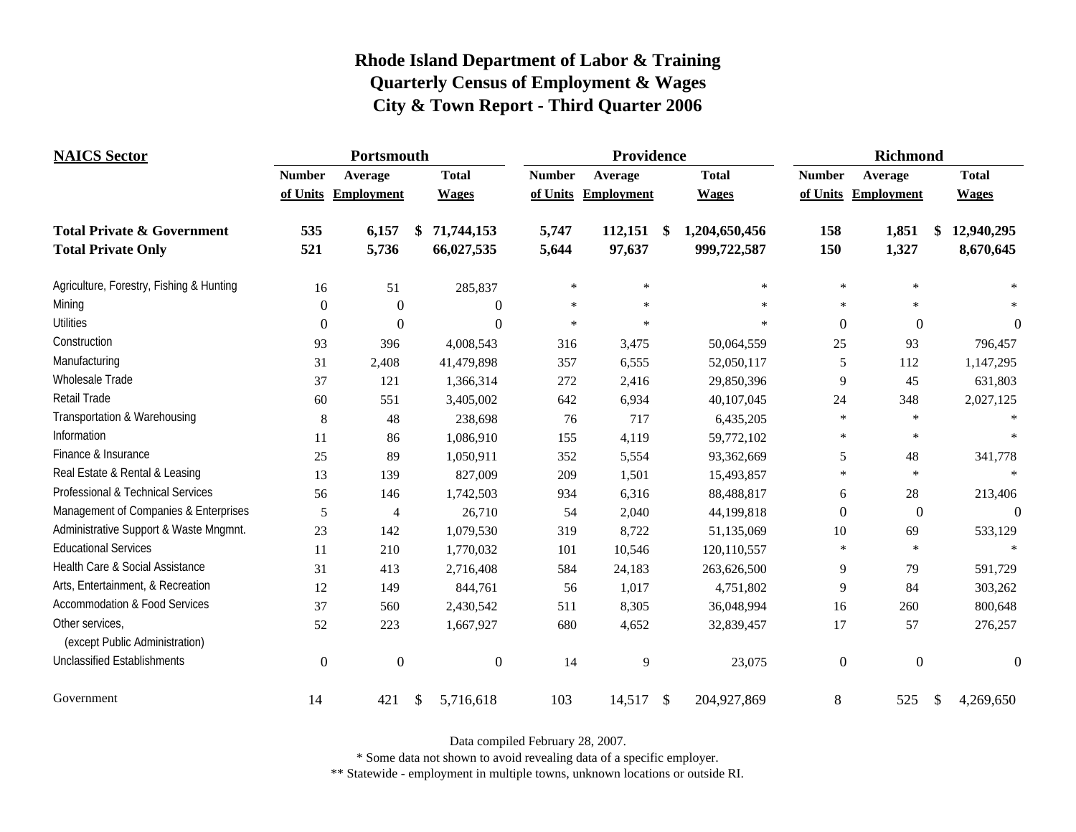| <b>NAICS</b> Sector                               | Portsmouth    |                     |                  |               | Providence        |               |               |               | <b>Richmond</b>     |                  |  |  |
|---------------------------------------------------|---------------|---------------------|------------------|---------------|-------------------|---------------|---------------|---------------|---------------------|------------------|--|--|
|                                                   | <b>Number</b> | Average             | <b>Total</b>     | <b>Number</b> | Average           |               | <b>Total</b>  | <b>Number</b> | Average             | <b>Total</b>     |  |  |
|                                                   |               | of Units Employment | <b>Wages</b>     | of Units      | <b>Employment</b> |               | <b>Wages</b>  |               | of Units Employment | <b>Wages</b>     |  |  |
| <b>Total Private &amp; Government</b>             | 535           | 6,157               | \$<br>71,744,153 | 5,747         | 112,151           | \$            | 1,204,650,456 | 158           | 1,851               | \$<br>12,940,295 |  |  |
| <b>Total Private Only</b>                         | 521           | 5,736               | 66,027,535       | 5,644         | 97,637            |               | 999,722,587   | 150           | 1,327               | 8,670,645        |  |  |
| Agriculture, Forestry, Fishing & Hunting          | 16            | 51                  | 285,837          | $\ast$        | $\ast$            |               | $\ast$        | $\ast$        | $\ast$              |                  |  |  |
| Mining                                            | $\Omega$      | $\theta$            | $\Omega$         | $\ast$        | $\star$           |               | $\star$       | $\ast$        | $\ast$              |                  |  |  |
| <b>Utilities</b>                                  | $\Omega$      | $\Omega$            | $\theta$         | $\ast$        | $\ast$            |               | $\ast$        | $\theta$      | $\theta$            | $\theta$         |  |  |
| Construction                                      | 93            | 396                 | 4,008,543        | 316           | 3,475             |               | 50,064,559    | 25            | 93                  | 796,457          |  |  |
| Manufacturing                                     | 31            | 2,408               | 41,479,898       | 357           | 6,555             |               | 52,050,117    | 5             | 112                 | 1,147,295        |  |  |
| Wholesale Trade                                   | 37            | 121                 | 1,366,314        | 272           | 2,416             |               | 29,850,396    | 9             | 45                  | 631,803          |  |  |
| <b>Retail Trade</b>                               | 60            | 551                 | 3,405,002        | 642           | 6,934             |               | 40,107,045    | 24            | 348                 | 2,027,125        |  |  |
| Transportation & Warehousing                      | 8             | 48                  | 238,698          | 76            | 717               |               | 6,435,205     | $\ast$        | $\ast$              |                  |  |  |
| Information                                       | 11            | 86                  | 1,086,910        | 155           | 4,119             |               | 59,772,102    | $\ast$        | $\ast$              |                  |  |  |
| Finance & Insurance                               | 25            | 89                  | 1,050,911        | 352           | 5,554             |               | 93,362,669    | 5             | 48                  | 341,778          |  |  |
| Real Estate & Rental & Leasing                    | 13            | 139                 | 827,009          | 209           | 1,501             |               | 15,493,857    | $*$           | $\star$             |                  |  |  |
| Professional & Technical Services                 | 56            | 146                 | 1,742,503        | 934           | 6,316             |               | 88,488,817    | 6             | 28                  | 213,406          |  |  |
| Management of Companies & Enterprises             | 5             | 4                   | 26,710           | 54            | 2,040             |               | 44,199,818    | $\theta$      | $\theta$            | $\theta$         |  |  |
| Administrative Support & Waste Mngmnt.            | 23            | 142                 | 1,079,530        | 319           | 8,722             |               | 51,135,069    | 10            | 69                  | 533,129          |  |  |
| <b>Educational Services</b>                       | 11            | 210                 | 1,770,032        | 101           | 10,546            |               | 120,110,557   | $\star$       | $\ast$              |                  |  |  |
| Health Care & Social Assistance                   | 31            | 413                 | 2,716,408        | 584           | 24,183            |               | 263,626,500   | 9             | 79                  | 591,729          |  |  |
| Arts, Entertainment, & Recreation                 | 12            | 149                 | 844,761          | 56            | 1,017             |               | 4,751,802     | 9             | 84                  | 303,262          |  |  |
| <b>Accommodation &amp; Food Services</b>          | 37            | 560                 | 2,430,542        | 511           | 8,305             |               | 36,048,994    | 16            | 260                 | 800,648          |  |  |
| Other services,<br>(except Public Administration) | 52            | 223                 | 1,667,927        | 680           | 4,652             |               | 32,839,457    | 17            | 57                  | 276,257          |  |  |
| <b>Unclassified Establishments</b>                | $\Omega$      | $\theta$            | $\boldsymbol{0}$ | 14            | 9                 |               | 23,075        | $\theta$      | $\boldsymbol{0}$    | $\theta$         |  |  |
| Government                                        | 14            | 421                 | \$<br>5,716,618  | 103           | 14,517            | $\mathcal{S}$ | 204,927,869   | 8             | 525                 | \$<br>4,269,650  |  |  |

Data compiled February 28, 2007.

\* Some data not shown to avoid revealing data of a specific employer.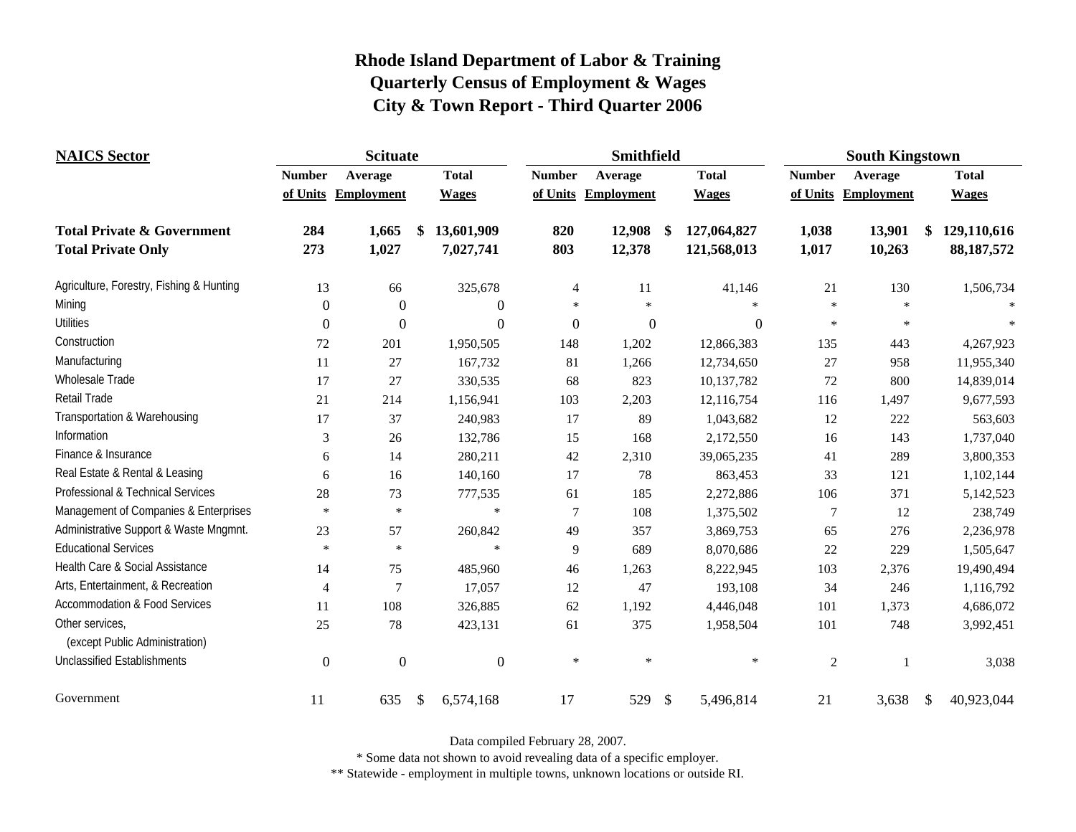| <b>NAICS</b> Sector                               |                  | <b>Scituate</b>     |                  |               | Smithfield        | <b>South Kingstown</b> |              |                |                     |               |              |
|---------------------------------------------------|------------------|---------------------|------------------|---------------|-------------------|------------------------|--------------|----------------|---------------------|---------------|--------------|
|                                                   | <b>Number</b>    | Average             | <b>Total</b>     | <b>Number</b> | Average           |                        | <b>Total</b> | <b>Number</b>  | Average             |               | <b>Total</b> |
|                                                   |                  | of Units Employment | <b>Wages</b>     | of Units      | <b>Employment</b> |                        | <b>Wages</b> |                | of Units Employment |               | <b>Wages</b> |
| <b>Total Private &amp; Government</b>             | 284              | 1,665               | 13,601,909<br>\$ | 820           | 12,908            | \$                     | 127,064,827  | 1,038          | 13,901              | \$            | 129,110,616  |
| <b>Total Private Only</b>                         | 273              | 1,027               | 7,027,741        | 803           | 12,378            |                        | 121,568,013  | 1,017          | 10,263              |               | 88, 187, 572 |
| Agriculture, Forestry, Fishing & Hunting          | 13               | 66                  | 325,678          | 4             | 11                |                        | 41,146       | 21             | 130                 |               | 1,506,734    |
| Mining                                            | $\boldsymbol{0}$ | $\theta$            | $\boldsymbol{0}$ | $\ast$        | $\star$           |                        | $\mathbf{x}$ | $\star$        | $\mathbf{k}$        |               |              |
| <b>Utilities</b>                                  | $\theta$         | $\theta$            | $\boldsymbol{0}$ | $\mathbf{0}$  | $\boldsymbol{0}$  |                        | $\mathbf{0}$ | $\star$        | $\star$             |               |              |
| Construction                                      | 72               | 201                 | 1,950,505        | 148           | 1,202             |                        | 12,866,383   | 135            | 443                 |               | 4,267,923    |
| Manufacturing                                     | 11               | 27                  | 167,732          | 81            | 1,266             |                        | 12,734,650   | $27\,$         | 958                 |               | 11,955,340   |
| Wholesale Trade                                   | 17               | 27                  | 330,535          | 68            | 823               |                        | 10,137,782   | $72\,$         | 800                 |               | 14,839,014   |
| <b>Retail Trade</b>                               | 21               | 214                 | 1,156,941        | 103           | 2,203             |                        | 12,116,754   | 116            | 1,497               |               | 9,677,593    |
| Transportation & Warehousing                      | 17               | 37                  | 240,983          | 17            | 89                |                        | 1,043,682    | 12             | 222                 |               | 563,603      |
| Information                                       | 3                | 26                  | 132,786          | 15            | 168               |                        | 2,172,550    | 16             | 143                 |               | 1,737,040    |
| Finance & Insurance                               | 6                | 14                  | 280,211          | 42            | 2,310             |                        | 39,065,235   | 41             | 289                 |               | 3,800,353    |
| Real Estate & Rental & Leasing                    | 6                | 16                  | 140,160          | 17            | 78                |                        | 863,453      | 33             | 121                 |               | 1,102,144    |
| Professional & Technical Services                 | 28               | 73                  | 777,535          | 61            | 185               |                        | 2,272,886    | 106            | 371                 |               | 5,142,523    |
| Management of Companies & Enterprises             | $\ast$           | $\ast$              | $\ast$           | $\tau$        | 108               |                        | 1,375,502    | 7              | 12                  |               | 238,749      |
| Administrative Support & Waste Mngmnt.            | 23               | 57                  | 260,842          | 49            | 357               |                        | 3,869,753    | 65             | 276                 |               | 2,236,978    |
| <b>Educational Services</b>                       | $\star$          | $\ast$              | ×                | 9             | 689               |                        | 8,070,686    | $22\,$         | 229                 |               | 1,505,647    |
| Health Care & Social Assistance                   | 14               | 75                  | 485,960          | $46\,$        | 1,263             |                        | 8,222,945    | 103            | 2,376               |               | 19,490,494   |
| Arts, Entertainment, & Recreation                 | 4                | 7                   | 17,057           | 12            | 47                |                        | 193,108      | 34             | 246                 |               | 1,116,792    |
| <b>Accommodation &amp; Food Services</b>          | 11               | 108                 | 326,885          | 62            | 1,192             |                        | 4,446,048    | 101            | 1,373               |               | 4,686,072    |
| Other services,<br>(except Public Administration) | 25               | 78                  | 423,131          | 61            | 375               |                        | 1,958,504    | 101            | 748                 |               | 3,992,451    |
| <b>Unclassified Establishments</b>                | $\boldsymbol{0}$ | $\overline{0}$      | $\boldsymbol{0}$ | $\ast$        | $\ast$            |                        | $\ast$       | $\overline{2}$ |                     |               | 3,038        |
| Government                                        | 11               | 635                 | \$<br>6,574,168  | 17            | 529               | $\frac{1}{2}$          | 5,496,814    | 21             | 3,638               | $\mathcal{S}$ | 40,923,044   |

Data compiled February 28, 2007.

\* Some data not shown to avoid revealing data of a specific employer.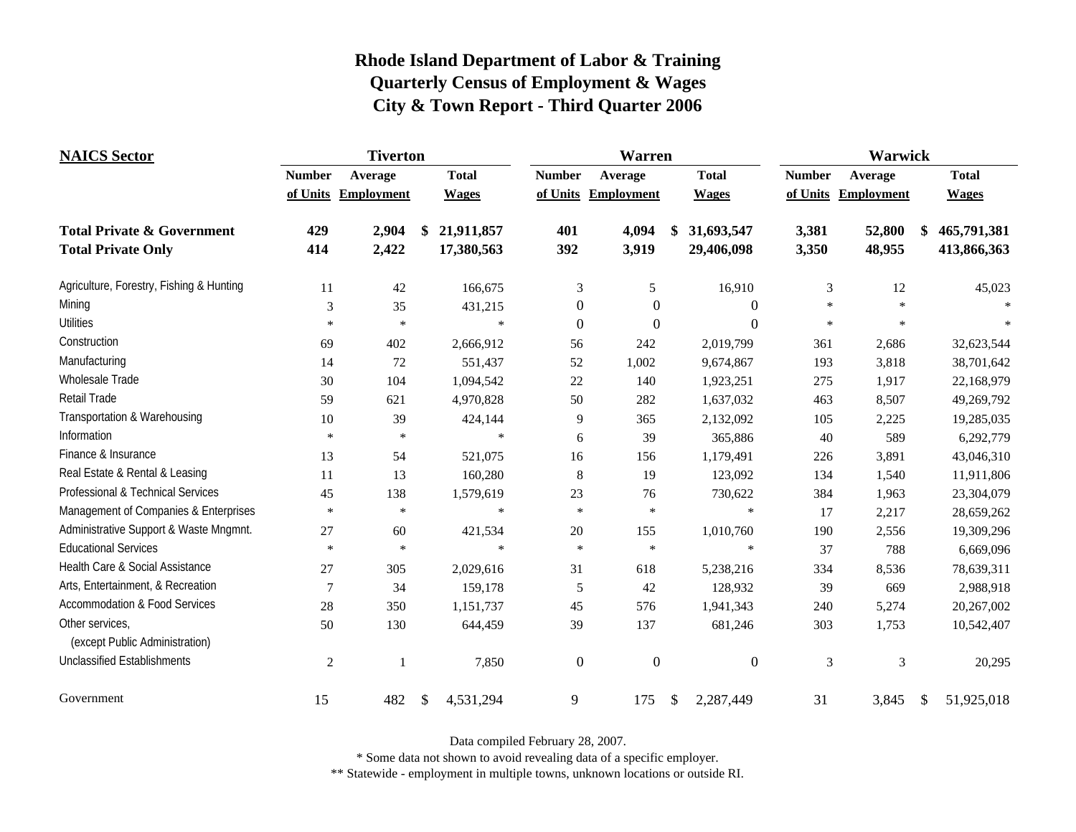| <b>NAICS</b> Sector                               | <b>Tiverton</b> |                     |    |              | Warren           |                  |               |                  | Warwick       |                   |               |              |
|---------------------------------------------------|-----------------|---------------------|----|--------------|------------------|------------------|---------------|------------------|---------------|-------------------|---------------|--------------|
|                                                   | <b>Number</b>   | Average             |    | <b>Total</b> | <b>Number</b>    | Average          |               | <b>Total</b>     | <b>Number</b> | Average           |               | <b>Total</b> |
|                                                   |                 | of Units Employment |    | <b>Wages</b> | of Units         | Employment       |               | <b>Wages</b>     | of Units      | <b>Employment</b> |               | <b>Wages</b> |
| <b>Total Private &amp; Government</b>             | 429             | 2,904               | \$ | 21,911,857   | 401              | 4,094            | \$            | 31,693,547       | 3,381         | 52,800            | \$            | 465,791,381  |
| <b>Total Private Only</b>                         | 414             | 2,422               |    | 17,380,563   | 392              | 3,919            |               | 29,406,098       | 3,350         | 48,955            |               | 413,866,363  |
| Agriculture, Forestry, Fishing & Hunting          | 11              | 42                  |    | 166,675      | 3                | $\sqrt{5}$       |               | 16,910           | 3             | 12                |               | 45,023       |
| Mining                                            | 3               | 35                  |    | 431,215      | $\theta$         | $\boldsymbol{0}$ |               | $\theta$         | *.            |                   |               |              |
| <b>Utilities</b>                                  | $\ast$          | $\ast$              |    | $\ast$       | $\boldsymbol{0}$ | $\boldsymbol{0}$ |               | $\boldsymbol{0}$ | $\star$       | $\ast$            |               |              |
| Construction                                      | 69              | 402                 |    | 2,666,912    | 56               | 242              |               | 2,019,799        | 361           | 2,686             |               | 32,623,544   |
| Manufacturing                                     | 14              | 72                  |    | 551,437      | 52               | 1,002            |               | 9,674,867        | 193           | 3,818             |               | 38,701,642   |
| Wholesale Trade                                   | 30              | 104                 |    | 1,094,542    | 22               | 140              |               | 1,923,251        | 275           | 1,917             |               | 22,168,979   |
| Retail Trade                                      | 59              | 621                 |    | 4,970,828    | 50               | 282              |               | 1,637,032        | 463           | 8,507             |               | 49,269,792   |
| Transportation & Warehousing                      | 10              | 39                  |    | 424,144      | 9                | 365              |               | 2,132,092        | 105           | 2,225             |               | 19,285,035   |
| Information                                       | $\ast$          | $\ast$              |    | $\ast$       | 6                | 39               |               | 365,886          | 40            | 589               |               | 6,292,779    |
| Finance & Insurance                               | 13              | 54                  |    | 521,075      | 16               | 156              |               | 1,179,491        | 226           | 3,891             |               | 43,046,310   |
| Real Estate & Rental & Leasing                    | 11              | 13                  |    | 160,280      | 8                | 19               |               | 123,092          | 134           | 1,540             |               | 11,911,806   |
| Professional & Technical Services                 | 45              | 138                 |    | 1,579,619    | 23               | 76               |               | 730,622          | 384           | 1,963             |               | 23,304,079   |
| Management of Companies & Enterprises             | $\star$         | $\ast$              |    | $\ast$       | $\ast$           | $\ast$           |               | $\star$          | 17            | 2,217             |               | 28,659,262   |
| Administrative Support & Waste Mngmnt.            | 27              | 60                  |    | 421,534      | 20               | 155              |               | 1,010,760        | 190           | 2,556             |               | 19,309,296   |
| <b>Educational Services</b>                       | $\ast$          | $\ast$              |    | $\ast$       | $\ast$           | $\ast$           |               | $\ast$           | 37            | 788               |               | 6,669,096    |
| Health Care & Social Assistance                   | 27              | 305                 |    | 2,029,616    | 31               | 618              |               | 5,238,216        | 334           | 8,536             |               | 78,639,311   |
| Arts, Entertainment, & Recreation                 | $\overline{7}$  | 34                  |    | 159,178      | 5                | 42               |               | 128,932          | 39            | 669               |               | 2,988,918    |
| <b>Accommodation &amp; Food Services</b>          | 28              | 350                 |    | 1,151,737    | 45               | 576              |               | 1,941,343        | 240           | 5,274             |               | 20,267,002   |
| Other services,<br>(except Public Administration) | 50              | 130                 |    | 644,459      | 39               | 137              |               | 681,246          | 303           | 1,753             |               | 10,542,407   |
| <b>Unclassified Establishments</b>                | 2               | $\mathbf{1}$        |    | 7,850        | $\boldsymbol{0}$ | $\boldsymbol{0}$ |               | $\boldsymbol{0}$ | 3             | 3                 |               | 20,295       |
| Government                                        | 15              | 482                 | \$ | 4,531,294    | 9                | 175              | $\mathcal{S}$ | 2,287,449        | 31            | 3,845             | $\mathcal{S}$ | 51,925,018   |

Data compiled February 28, 2007.

\* Some data not shown to avoid revealing data of a specific employer.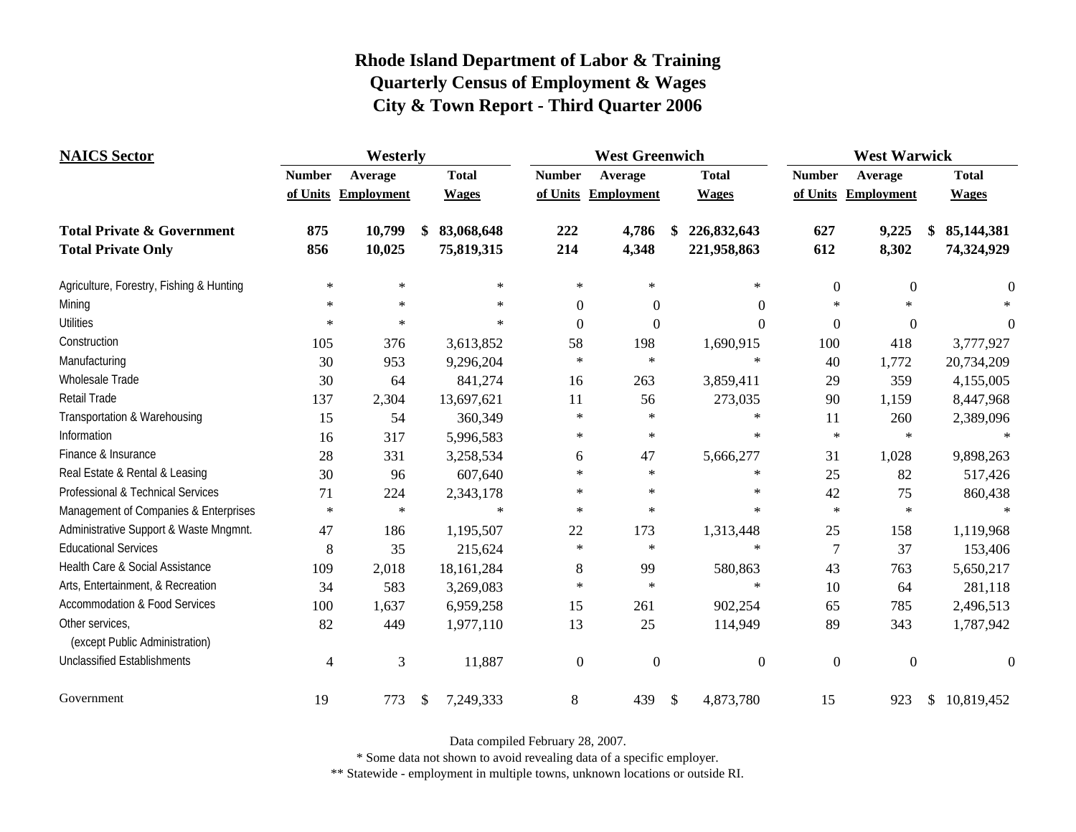| <b>NAICS</b> Sector                               | Westerly       |                     |    |              |                  | <b>West Greenwich</b> |               | <b>West Warwick</b> |                  |                     |              |              |
|---------------------------------------------------|----------------|---------------------|----|--------------|------------------|-----------------------|---------------|---------------------|------------------|---------------------|--------------|--------------|
|                                                   | <b>Number</b>  | Average             |    | <b>Total</b> | <b>Number</b>    | Average               |               | <b>Total</b>        | <b>Number</b>    | Average             | <b>Total</b> |              |
|                                                   |                | of Units Employment |    | <b>Wages</b> | of Units         | Employment            |               | <b>Wages</b>        |                  | of Units Employment |              | <b>Wages</b> |
| <b>Total Private &amp; Government</b>             | 875            | 10,799              | \$ | 83,068,648   | 222              | 4,786                 | \$            | 226,832,643         | 627              | 9,225               |              | 85,144,381   |
| <b>Total Private Only</b>                         | 856            | 10,025              |    | 75,819,315   | 214              | 4,348                 |               | 221,958,863         | 612              | 8,302               |              | 74,324,929   |
| Agriculture, Forestry, Fishing & Hunting          | $\ast$         | $\ast$              |    | $\ast$       | $\ast$           | $\ast$                |               | $\ast$              | $\boldsymbol{0}$ | $\boldsymbol{0}$    |              | $\theta$     |
| Mining                                            | $\ast$         | $\ast$              |    | $\ast$       | $\boldsymbol{0}$ | $\boldsymbol{0}$      |               | $\Omega$            | $\ast$           | $\ast$              |              |              |
| <b>Utilities</b>                                  | $\ast$         | $\ast$              |    | $\ast$       | $\boldsymbol{0}$ | $\boldsymbol{0}$      |               | $\Omega$            | $\boldsymbol{0}$ | $\mathbf{0}$        |              | $\Omega$     |
| Construction                                      | 105            | 376                 |    | 3,613,852    | 58               | 198                   |               | 1,690,915           | 100              | 418                 |              | 3,777,927    |
| Manufacturing                                     | 30             | 953                 |    | 9,296,204    | $\ast$           | $\ast$                |               | $\ast$              | 40               | 1,772               |              | 20,734,209   |
| Wholesale Trade                                   | 30             | 64                  |    | 841,274      | 16               | 263                   |               | 3,859,411           | 29               | 359                 |              | 4,155,005    |
| <b>Retail Trade</b>                               | 137            | 2,304               |    | 13,697,621   | 11               | 56                    |               | 273,035             | 90               | 1,159               |              | 8,447,968    |
| Transportation & Warehousing                      | 15             | 54                  |    | 360,349      | $\ast$           | $\ast$                |               | $\ast$              | 11               | 260                 |              | 2,389,096    |
| Information                                       | 16             | 317                 |    | 5,996,583    | $\ast$           | $\ast$                |               | ∗                   | $\ast$           | $\ast$              |              | $\ast$       |
| Finance & Insurance                               | 28             | 331                 |    | 3,258,534    | 6                | 47                    |               | 5,666,277           | 31               | 1,028               |              | 9,898,263    |
| Real Estate & Rental & Leasing                    | 30             | 96                  |    | 607,640      | $\ast$           | $\ast$                |               | $\ast$              | 25               | 82                  |              | 517,426      |
| Professional & Technical Services                 | 71             | 224                 |    | 2,343,178    | $\ast$           | $\ast$                |               | ∗                   | 42               | 75                  |              | 860,438      |
| Management of Companies & Enterprises             | $\ast$         | $\ast$              |    | $\ast$       | $\ast$           | $\ast$                |               | $\ast$              | $\ast$           | $\ast$              |              | $\ast$       |
| Administrative Support & Waste Mngmnt.            | 47             | 186                 |    | 1,195,507    | 22               | 173                   |               | 1,313,448           | 25               | 158                 |              | 1,119,968    |
| <b>Educational Services</b>                       | 8              | 35                  |    | 215,624      | $\ast$           | $\ast$                |               | $\ast$              | 7                | 37                  |              | 153,406      |
| Health Care & Social Assistance                   | 109            | 2,018               |    | 18,161,284   | 8                | 99                    |               | 580,863             | 43               | 763                 |              | 5,650,217    |
| Arts, Entertainment, & Recreation                 | 34             | 583                 |    | 3,269,083    | $\ast$           | $\ast$                |               | $\ast$              | 10               | 64                  |              | 281,118      |
| <b>Accommodation &amp; Food Services</b>          | 100            | 1,637               |    | 6,959,258    | 15               | 261                   |               | 902,254             | 65               | 785                 |              | 2,496,513    |
| Other services,<br>(except Public Administration) | 82             | 449                 |    | 1,977,110    | 13               | 25                    |               | 114,949             | 89               | 343                 |              | 1,787,942    |
| <b>Unclassified Establishments</b>                | $\overline{4}$ | 3                   |    | 11,887       | $\overline{0}$   | $\boldsymbol{0}$      |               | $\overline{0}$      | $\overline{0}$   | $\mathbf{0}$        |              | $\theta$     |
| Government                                        | 19             | 773                 | \$ | 7,249,333    | $8\,$            | 439                   | $\frac{1}{2}$ | 4,873,780           | 15               | 923                 | \$           | 10,819,452   |

Data compiled February 28, 2007.

\* Some data not shown to avoid revealing data of a specific employer.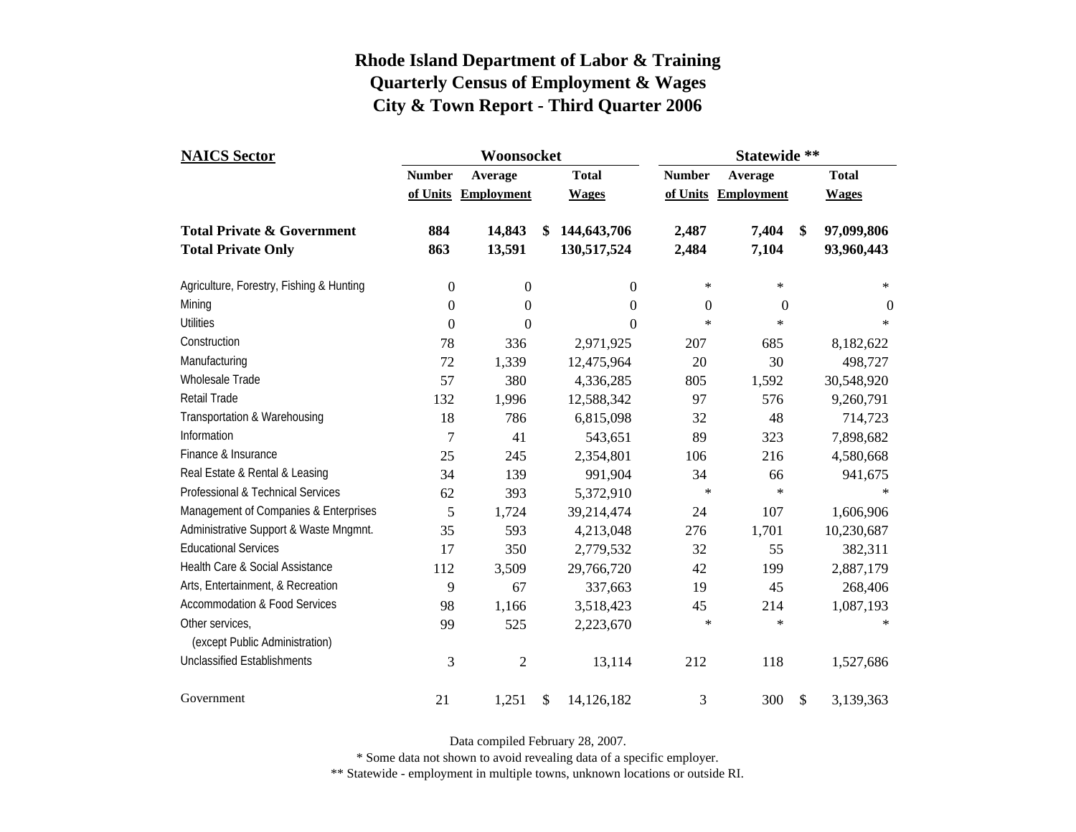| <b>NAICS Sector</b>                      |                           | Woonsocket                   |    |                              | Statewide **  |                                |    |                              |
|------------------------------------------|---------------------------|------------------------------|----|------------------------------|---------------|--------------------------------|----|------------------------------|
|                                          | <b>Number</b><br>of Units | Average<br><b>Employment</b> |    | <b>Total</b><br><b>Wages</b> | <b>Number</b> | Average<br>of Units Employment |    | <b>Total</b><br><b>Wages</b> |
| <b>Total Private &amp; Government</b>    | 884                       | 14,843                       | \$ | 144,643,706                  | 2,487         | 7,404                          | \$ | 97,099,806                   |
| <b>Total Private Only</b>                | 863                       | 13,591                       |    | 130,517,524                  | 2,484         | 7,104                          |    | 93,960,443                   |
| Agriculture, Forestry, Fishing & Hunting | $\boldsymbol{0}$          | $\boldsymbol{0}$             |    | $\mathbf{0}$                 | $\ast$        | $\ast$                         |    | $\ast$                       |
| Mining                                   | $\overline{0}$            | $\overline{0}$               |    | $\overline{0}$               | 0             | $\theta$                       |    | $\theta$                     |
| <b>Utilities</b>                         | $\boldsymbol{0}$          | $\overline{0}$               |    | $\overline{0}$               | $\ast$        | ∗                              |    | $\ast$                       |
| Construction                             | 78                        | 336                          |    | 2,971,925                    | 207           | 685                            |    | 8,182,622                    |
| Manufacturing                            | 72                        | 1,339                        |    | 12,475,964                   | 20            | 30                             |    | 498,727                      |
| <b>Wholesale Trade</b>                   | 57                        | 380                          |    | 4,336,285                    | 805           | 1,592                          |    | 30,548,920                   |
| <b>Retail Trade</b>                      | 132                       | 1,996                        |    | 12,588,342                   | 97            | 576                            |    | 9,260,791                    |
| Transportation & Warehousing             | 18                        | 786                          |    | 6,815,098                    | 32            | 48                             |    | 714,723                      |
| Information                              | $\overline{7}$            | 41                           |    | 543,651                      | 89            | 323                            |    | 7,898,682                    |
| Finance & Insurance                      | 25                        | 245                          |    | 2,354,801                    | 106           | 216                            |    | 4,580,668                    |
| Real Estate & Rental & Leasing           | 34                        | 139                          |    | 991,904                      | 34            | 66                             |    | 941,675                      |
| Professional & Technical Services        | 62                        | 393                          |    | 5,372,910                    | $\ast$        | $\ast$                         |    | $*$                          |
| Management of Companies & Enterprises    | 5                         | 1,724                        |    | 39,214,474                   | 24            | 107                            |    | 1,606,906                    |
| Administrative Support & Waste Mngmnt.   | 35                        | 593                          |    | 4,213,048                    | 276           | 1,701                          |    | 10,230,687                   |
| <b>Educational Services</b>              | 17                        | 350                          |    | 2,779,532                    | 32            | 55                             |    | 382,311                      |
| Health Care & Social Assistance          | 112                       | 3,509                        |    | 29,766,720                   | 42            | 199                            |    | 2,887,179                    |
| Arts, Entertainment, & Recreation        | 9                         | 67                           |    | 337,663                      | 19            | 45                             |    | 268,406                      |
| <b>Accommodation &amp; Food Services</b> | 98                        | 1,166                        |    | 3,518,423                    | 45            | 214                            |    | 1,087,193                    |
| Other services,                          | 99                        | 525                          |    | 2,223,670                    | $\ast$        | ∗                              |    | ∗                            |
| (except Public Administration)           |                           |                              |    |                              |               |                                |    |                              |
| <b>Unclassified Establishments</b>       | 3                         | $\mathfrak{2}$               |    | 13,114                       | 212           | 118                            |    | 1,527,686                    |
| Government                               | 21                        | 1,251                        | \$ | 14,126,182                   | 3             | 300                            | \$ | 3,139,363                    |

Data compiled February 28, 2007.

\* Some data not shown to avoid revealing data of a specific employer.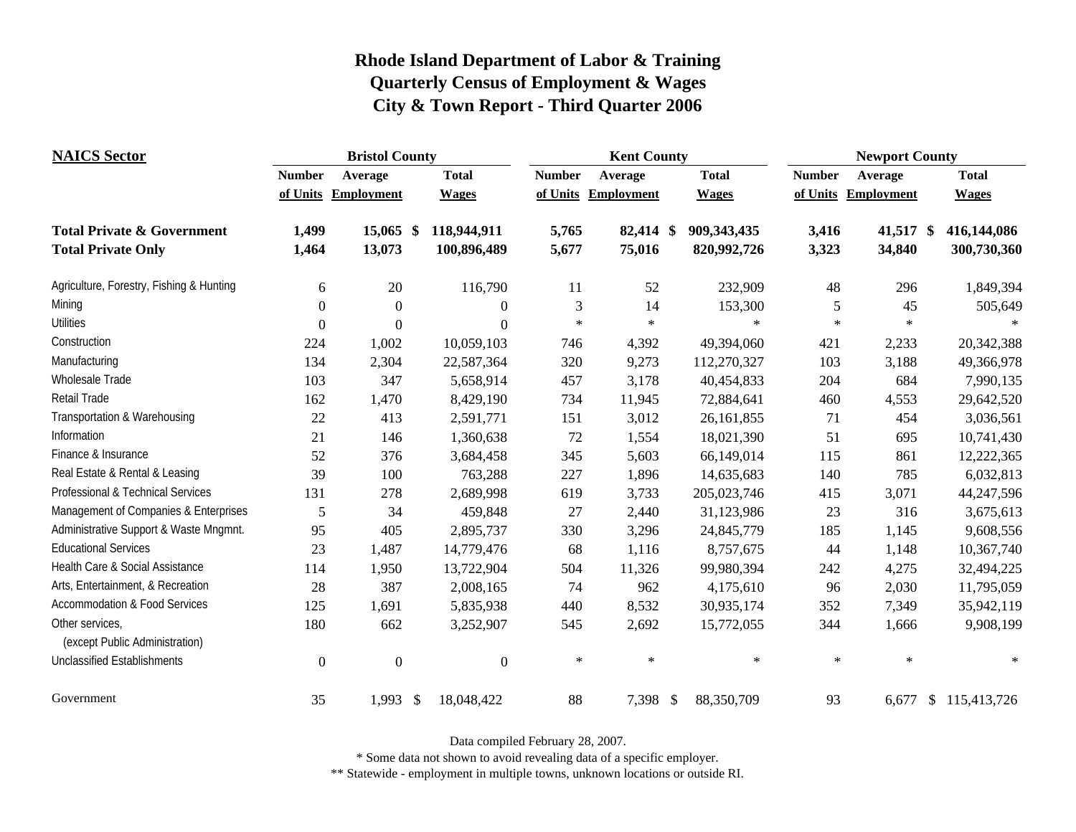| <b>NAICS Sector</b>                               |               | <b>Bristol County</b> |              |               | <b>Kent County</b>  |               | <b>Newport County</b> |                     |                      |  |
|---------------------------------------------------|---------------|-----------------------|--------------|---------------|---------------------|---------------|-----------------------|---------------------|----------------------|--|
|                                                   | <b>Number</b> | Average               | <b>Total</b> | <b>Number</b> | Average             | <b>Total</b>  | <b>Number</b>         | Average             | <b>Total</b>         |  |
|                                                   |               | of Units Employment   | <b>Wages</b> |               | of Units Employment | <b>Wages</b>  |                       | of Units Employment | <b>Wages</b>         |  |
| <b>Total Private &amp; Government</b>             | 1,499         | $15,065$ \$           | 118,944,911  | 5,765         | 82,414 \$           | 909, 343, 435 | 3,416                 | 41,517 \$           | 416,144,086          |  |
| <b>Total Private Only</b>                         | 1,464         | 13,073                | 100,896,489  | 5,677         | 75,016              | 820,992,726   | 3,323                 | 34,840              | 300,730,360          |  |
| Agriculture, Forestry, Fishing & Hunting          | 6             | 20                    | 116,790      | 11            | 52                  | 232,909       | 48                    | 296                 | 1,849,394            |  |
| Mining                                            | $\Omega$      | $\Omega$              | $\theta$     | 3             | 14                  | 153,300       | 5                     | 45                  | 505,649              |  |
| <b>Utilities</b>                                  | $\theta$      | $\Omega$              | $\theta$     | $\star$       | $\ast$              | $\ast$        | $\ast$                | $\star$             |                      |  |
| Construction                                      | 224           | 1,002                 | 10,059,103   | 746           | 4,392               | 49,394,060    | 421                   | 2,233               | 20,342,388           |  |
| Manufacturing                                     | 134           | 2,304                 | 22,587,364   | 320           | 9,273               | 112,270,327   | 103                   | 3,188               | 49,366,978           |  |
| Wholesale Trade                                   | 103           | 347                   | 5,658,914    | 457           | 3,178               | 40,454,833    | 204                   | 684                 | 7,990,135            |  |
| Retail Trade                                      | 162           | 1,470                 | 8,429,190    | 734           | 11,945              | 72,884,641    | 460                   | 4,553               | 29,642,520           |  |
| Transportation & Warehousing                      | 22            | 413                   | 2,591,771    | 151           | 3,012               | 26,161,855    | 71                    | 454                 | 3,036,561            |  |
| Information                                       | 21            | 146                   | 1,360,638    | 72            | 1,554               | 18,021,390    | 51                    | 695                 | 10,741,430           |  |
| Finance & Insurance                               | 52            | 376                   | 3,684,458    | 345           | 5,603               | 66,149,014    | 115                   | 861                 | 12,222,365           |  |
| Real Estate & Rental & Leasing                    | 39            | 100                   | 763,288      | 227           | 1,896               | 14,635,683    | 140                   | 785                 | 6,032,813            |  |
| Professional & Technical Services                 | 131           | 278                   | 2,689,998    | 619           | 3,733               | 205,023,746   | 415                   | 3,071               | 44,247,596           |  |
| Management of Companies & Enterprises             | 5             | 34                    | 459,848      | $27\,$        | 2,440               | 31,123,986    | 23                    | 316                 | 3,675,613            |  |
| Administrative Support & Waste Mngmnt.            | 95            | 405                   | 2,895,737    | 330           | 3,296               | 24,845,779    | 185                   | 1,145               | 9,608,556            |  |
| <b>Educational Services</b>                       | 23            | 1,487                 | 14,779,476   | 68            | 1,116               | 8,757,675     | 44                    | 1,148               | 10,367,740           |  |
| Health Care & Social Assistance                   | 114           | 1,950                 | 13,722,904   | 504           | 11,326              | 99,980,394    | 242                   | 4,275               | 32,494,225           |  |
| Arts, Entertainment, & Recreation                 | 28            | 387                   | 2,008,165    | 74            | 962                 | 4,175,610     | 96                    | 2,030               | 11,795,059           |  |
| <b>Accommodation &amp; Food Services</b>          | 125           | 1,691                 | 5,835,938    | 440           | 8,532               | 30,935,174    | 352                   | 7,349               | 35,942,119           |  |
| Other services,<br>(except Public Administration) | 180           | 662                   | 3,252,907    | 545           | 2,692               | 15,772,055    | 344                   | 1,666               | 9,908,199            |  |
| <b>Unclassified Establishments</b>                | $\Omega$      | $\mathbf{0}$          | $\theta$     | $\ast$        | $\ast$              | $\ast$        | $\ast$                | $\ast$              | $\ast$               |  |
| Government                                        | 35            | $1,993$ \$            | 18,048,422   | 88            | 7,398 \$            | 88,350,709    | 93                    |                     | 6,677 \$ 115,413,726 |  |

Data compiled February 28, 2007.

\* Some data not shown to avoid revealing data of a specific employer.